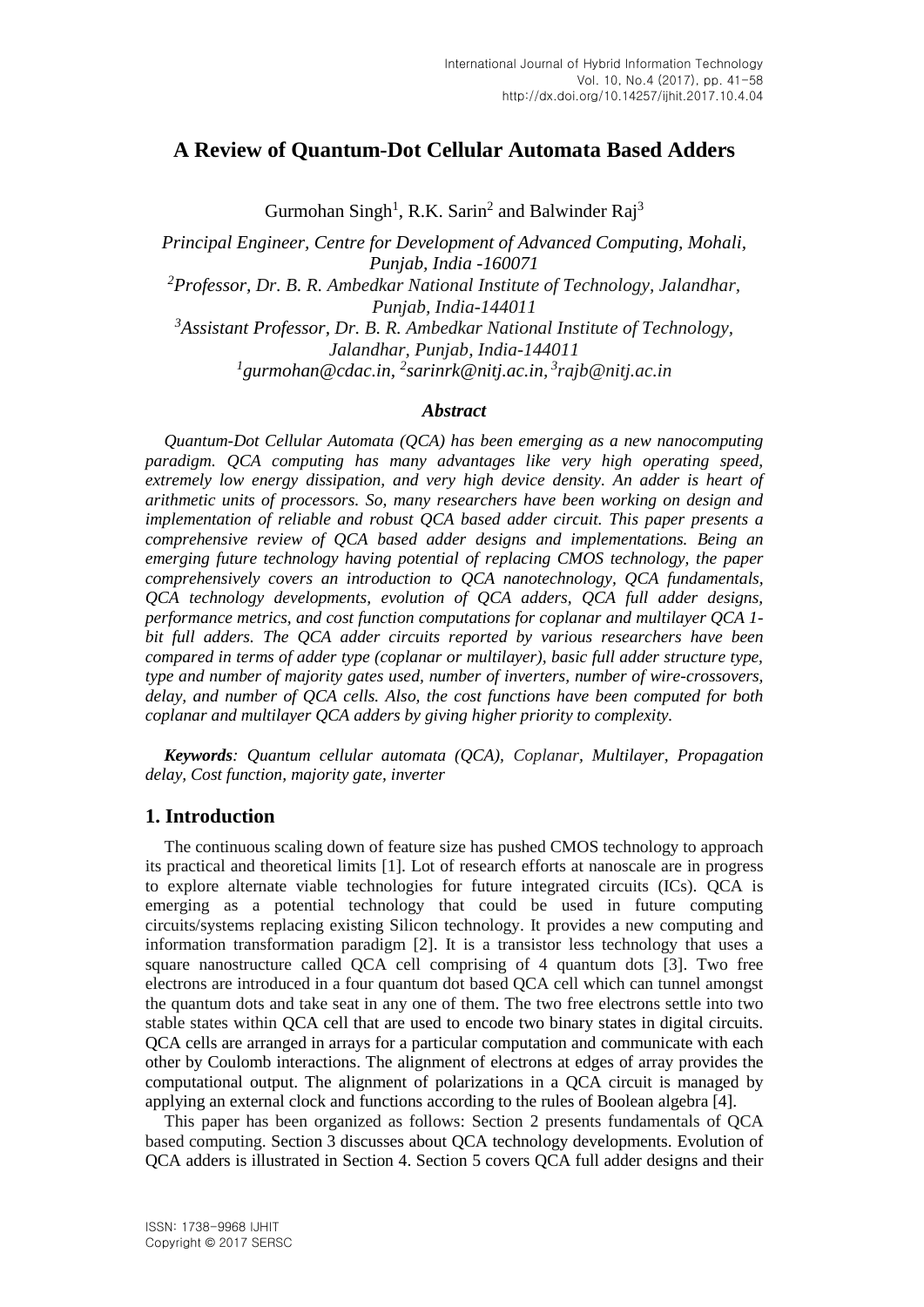# **A Review of Quantum-Dot Cellular Automata Based Adders**

Gurmohan Singh<sup>1</sup>, R.K. Sarin<sup>2</sup> and Balwinder Raj<sup>3</sup>

*Principal Engineer, Centre for Development of Advanced Computing, Mohali, Punjab, India -160071 <sup>2</sup>Professor, Dr. B. R. Ambedkar National Institute of Technology, Jalandhar, Punjab, India-144011 <sup>3</sup>Assistant Professor, Dr. B. R. Ambedkar National Institute of Technology, Jalandhar, Punjab, India-144011*

*1 gurmohan@cdac.in, 2 sarinrk@nitj.ac.in, 3 rajb@nitj.ac.in*

## *Abstract*

*Quantum-Dot Cellular Automata (QCA) has been emerging as a new nanocomputing paradigm. QCA computing has many advantages like very high operating speed, extremely low energy dissipation, and very high device density. An adder is heart of arithmetic units of processors. So, many researchers have been working on design and implementation of reliable and robust QCA based adder circuit. This paper presents a comprehensive review of QCA based adder designs and implementations. Being an emerging future technology having potential of replacing CMOS technology, the paper comprehensively covers an introduction to QCA nanotechnology, QCA fundamentals, QCA technology developments, evolution of QCA adders, QCA full adder designs, performance metrics, and cost function computations for coplanar and multilayer QCA 1 bit full adders. The QCA adder circuits reported by various researchers have been compared in terms of adder type (coplanar or multilayer), basic full adder structure type, type and number of majority gates used, number of inverters, number of wire-crossovers, delay, and number of QCA cells. Also, the cost functions have been computed for both coplanar and multilayer QCA adders by giving higher priority to complexity.*

*Keywords: Quantum cellular automata (QCA), Coplanar, Multilayer, Propagation delay, Cost function, majority gate, inverter*

## **1. Introduction**

The continuous scaling down of feature size has pushed CMOS technology to approach its practical and theoretical limits [1]. Lot of research efforts at nanoscale are in progress to explore alternate viable technologies for future integrated circuits (ICs). QCA is emerging as a potential technology that could be used in future computing circuits/systems replacing existing Silicon technology. It provides a new computing and information transformation paradigm [2]. It is a transistor less technology that uses a square nanostructure called QCA cell comprising of 4 quantum dots [3]. Two free electrons are introduced in a four quantum dot based QCA cell which can tunnel amongst the quantum dots and take seat in any one of them. The two free electrons settle into two stable states within QCA cell that are used to encode two binary states in digital circuits. QCA cells are arranged in arrays for a particular computation and communicate with each other by Coulomb interactions. The alignment of electrons at edges of array provides the computational output. The alignment of polarizations in a QCA circuit is managed by applying an external clock and functions according to the rules of Boolean algebra [4].

This paper has been organized as follows: Section 2 presents fundamentals of QCA based computing. Section 3 discusses about QCA technology developments. Evolution of QCA adders is illustrated in Section 4. Section 5 covers QCA full adder designs and their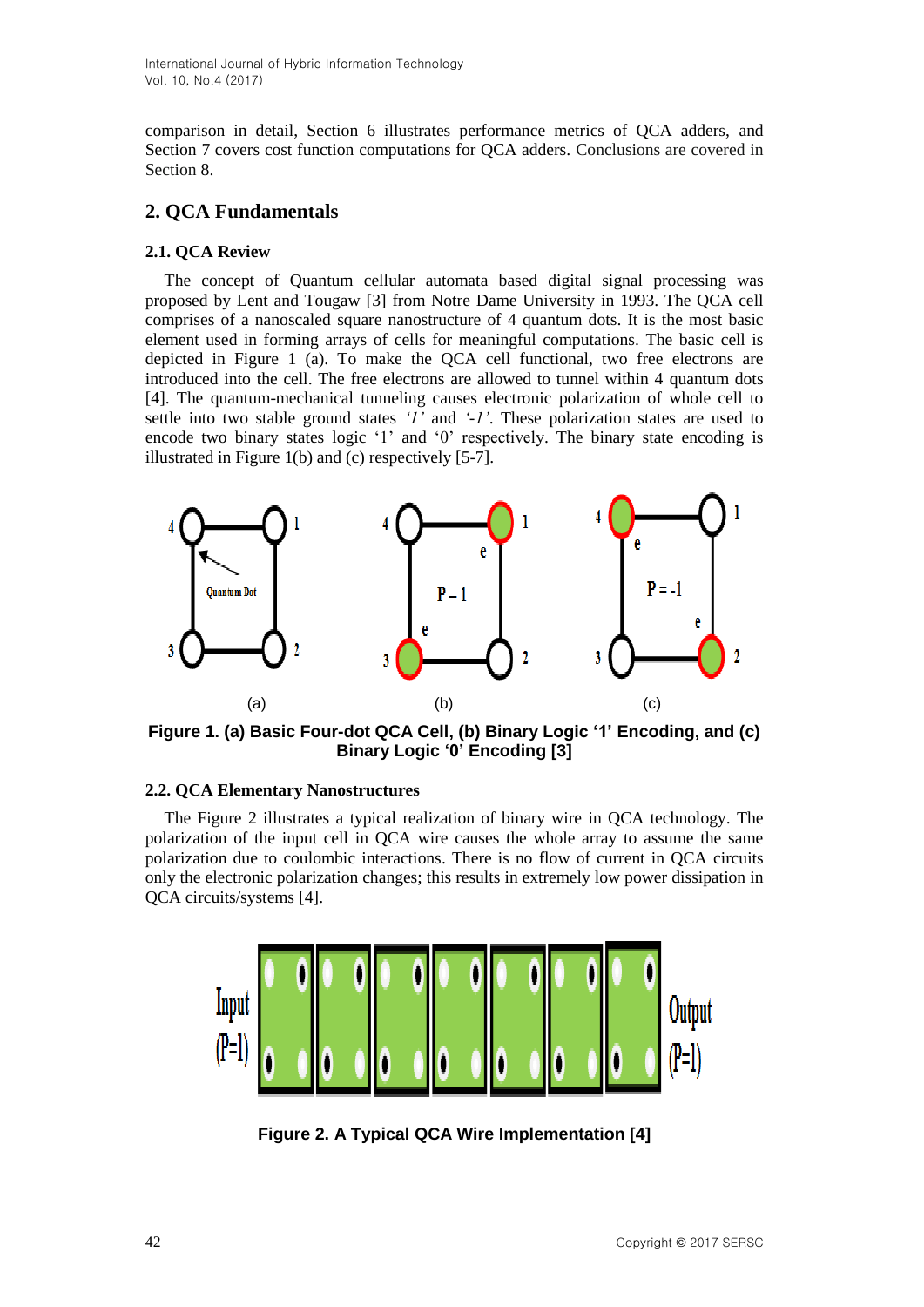comparison in detail, Section 6 illustrates performance metrics of QCA adders, and Section 7 covers cost function computations for QCA adders. Conclusions are covered in Section 8.

# **2. QCA Fundamentals**

## **2.1. QCA Review**

The concept of Quantum cellular automata based digital signal processing was proposed by Lent and Tougaw [3] from Notre Dame University in 1993. The QCA cell comprises of a nanoscaled square nanostructure of 4 quantum dots. It is the most basic element used in forming arrays of cells for meaningful computations. The basic cell is depicted in Figure 1 (a). To make the QCA cell functional, two free electrons are introduced into the cell. The free electrons are allowed to tunnel within 4 quantum dots [4]. The quantum-mechanical tunneling causes electronic polarization of whole cell to settle into two stable ground states *'1'* and *'-1'*. These polarization states are used to encode two binary states logic '1' and '0' respectively. The binary state encoding is illustrated in Figure 1(b) and (c) respectively [5-7].



**Figure 1. (a) Basic Four-dot QCA Cell, (b) Binary Logic '1' Encoding, and (c) Binary Logic '0' Encoding [3]**

## **2.2. QCA Elementary Nanostructures**

The Figure 2 illustrates a typical realization of binary wire in QCA technology. The polarization of the input cell in QCA wire causes the whole array to assume the same polarization due to coulombic interactions. There is no flow of current in QCA circuits only the electronic polarization changes; this results in extremely low power dissipation in QCA circuits/systems [4].



**Figure 2. A Typical QCA Wire Implementation [4]**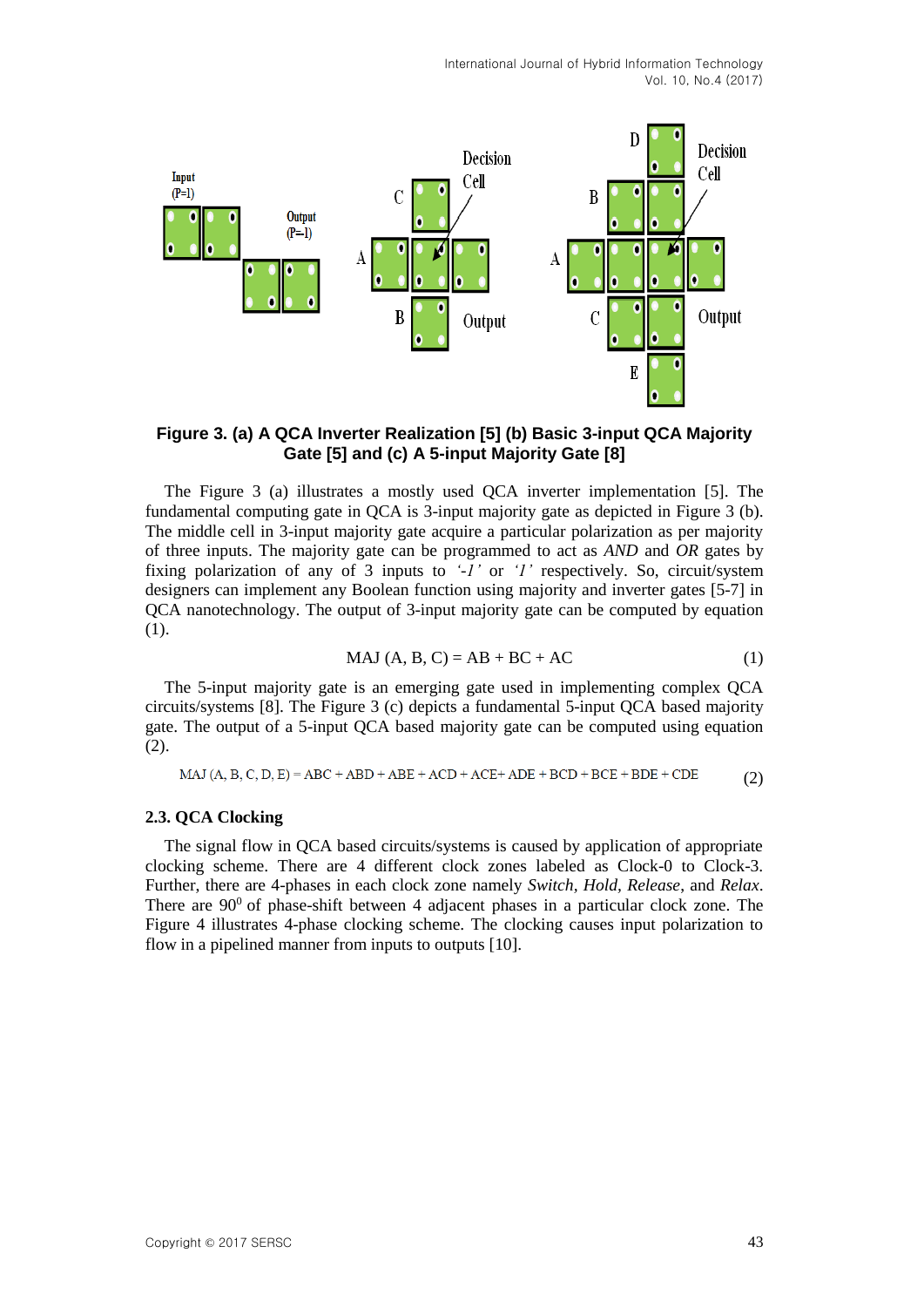

**Figure 3. (a) A QCA Inverter Realization [5] (b) Basic 3-input QCA Majority Gate [5] and (c) A 5-input Majority Gate [8]**

The Figure 3 (a) illustrates a mostly used QCA inverter implementation [5]. The fundamental computing gate in QCA is 3-input majority gate as depicted in Figure 3 (b). The middle cell in 3-input majority gate acquire a particular polarization as per majority of three inputs. The majority gate can be programmed to act as *AND* and *OR* gates by fixing polarization of any of 3 inputs to *'-1'* or *'1'* respectively. So, circuit/system designers can implement any Boolean function using majority and inverter gates [5-7] in QCA nanotechnology. The output of 3-input majority gate can be computed by equation (1).

$$
MAJ (A, B, C) = AB + BC + AC \tag{1}
$$

The 5-input majority gate is an emerging gate used in implementing complex QCA circuits/systems [8]. The Figure 3 (c) depicts a fundamental 5-input QCA based majority gate. The output of a 5-input QCA based majority gate can be computed using equation (2).

MAJ (A, B, C, D, E) = ABC + ABD + ABE + ACD + ACE + ADE + BCD + BCE + BDE + CDE (2)

#### **2.3. QCA Clocking**

The signal flow in QCA based circuits/systems is caused by application of appropriate clocking scheme. There are 4 different clock zones labeled as Clock-0 to Clock-3. Further, there are 4-phases in each clock zone namely *Switch, Hold, Release*, and *Relax*. There are  $90^{\circ}$  of phase-shift between 4 adjacent phases in a particular clock zone. The Figure 4 illustrates 4-phase clocking scheme. The clocking causes input polarization to flow in a pipelined manner from inputs to outputs [10].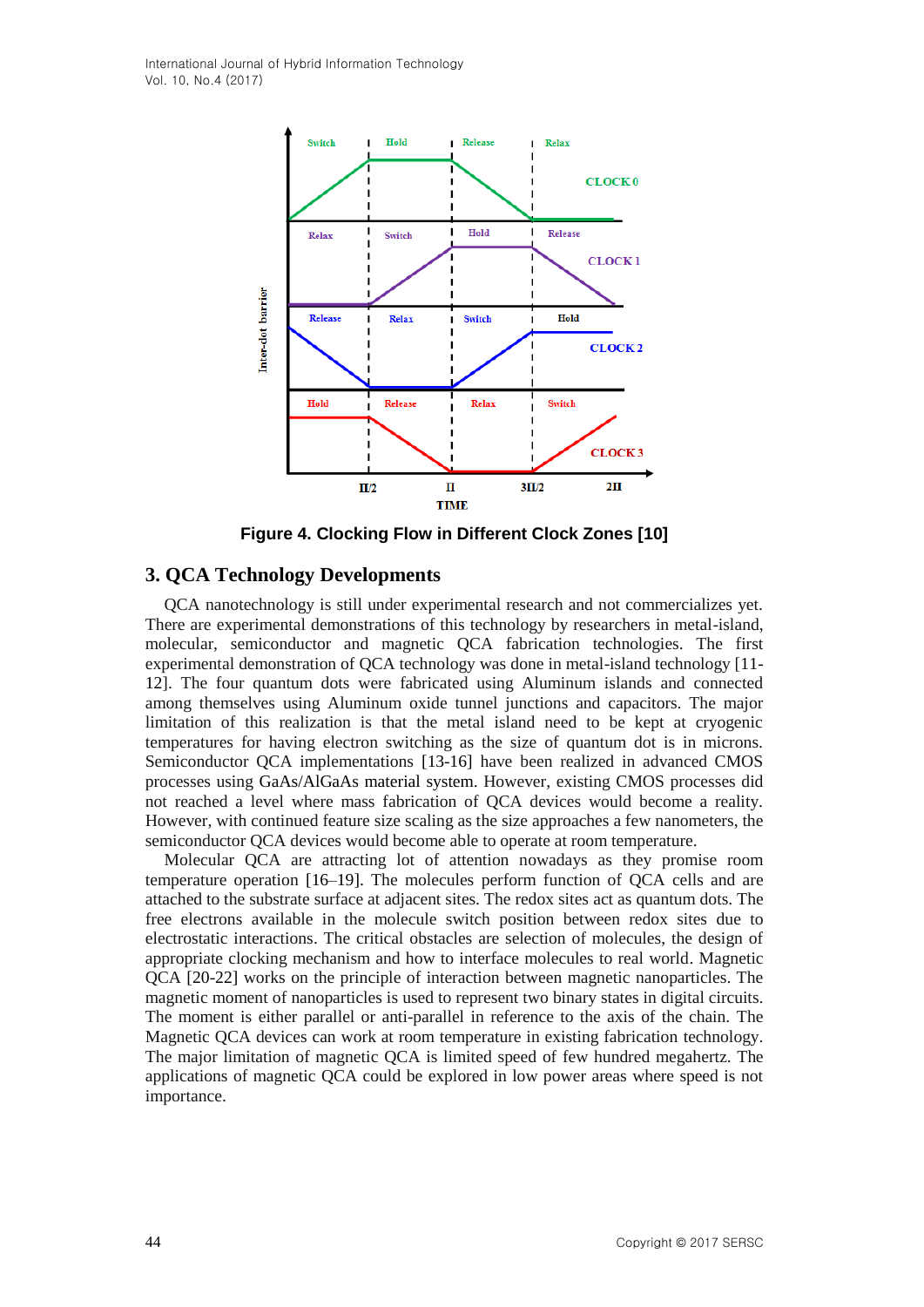

**Figure 4. Clocking Flow in Different Clock Zones [10]**

## **3. QCA Technology Developments**

QCA nanotechnology is still under experimental research and not commercializes yet. There are experimental demonstrations of this technology by researchers in metal-island, molecular, semiconductor and magnetic QCA fabrication technologies. The first experimental demonstration of QCA technology was done in metal-island technology [11- 12]. The four quantum dots were fabricated using Aluminum islands and connected among themselves using Aluminum oxide tunnel junctions and capacitors. The major limitation of this realization is that the metal island need to be kept at cryogenic temperatures for having electron switching as the size of quantum dot is in microns. Semiconductor QCA implementations [13-16] have been realized in advanced CMOS processes using GaAs/AlGaAs material system. However, existing CMOS processes did not reached a level where mass fabrication of QCA devices would become a reality. However, with continued feature size scaling as the size approaches a few nanometers, the semiconductor QCA devices would become able to operate at room temperature.

Molecular QCA are attracting lot of attention nowadays as they promise room temperature operation [16–19]. The molecules perform function of QCA cells and are attached to the substrate surface at adjacent sites. The redox sites act as quantum dots. The free electrons available in the molecule switch position between redox sites due to electrostatic interactions. The critical obstacles are selection of molecules, the design of appropriate clocking mechanism and how to interface molecules to real world. Magnetic QCA [20-22] works on the principle of interaction between magnetic nanoparticles. The magnetic moment of nanoparticles is used to represent two binary states in digital circuits. The moment is either parallel or anti-parallel in reference to the axis of the chain. The Magnetic QCA devices can work at room temperature in existing fabrication technology. The major limitation of magnetic QCA is limited speed of few hundred megahertz. The applications of magnetic QCA could be explored in low power areas where speed is not importance.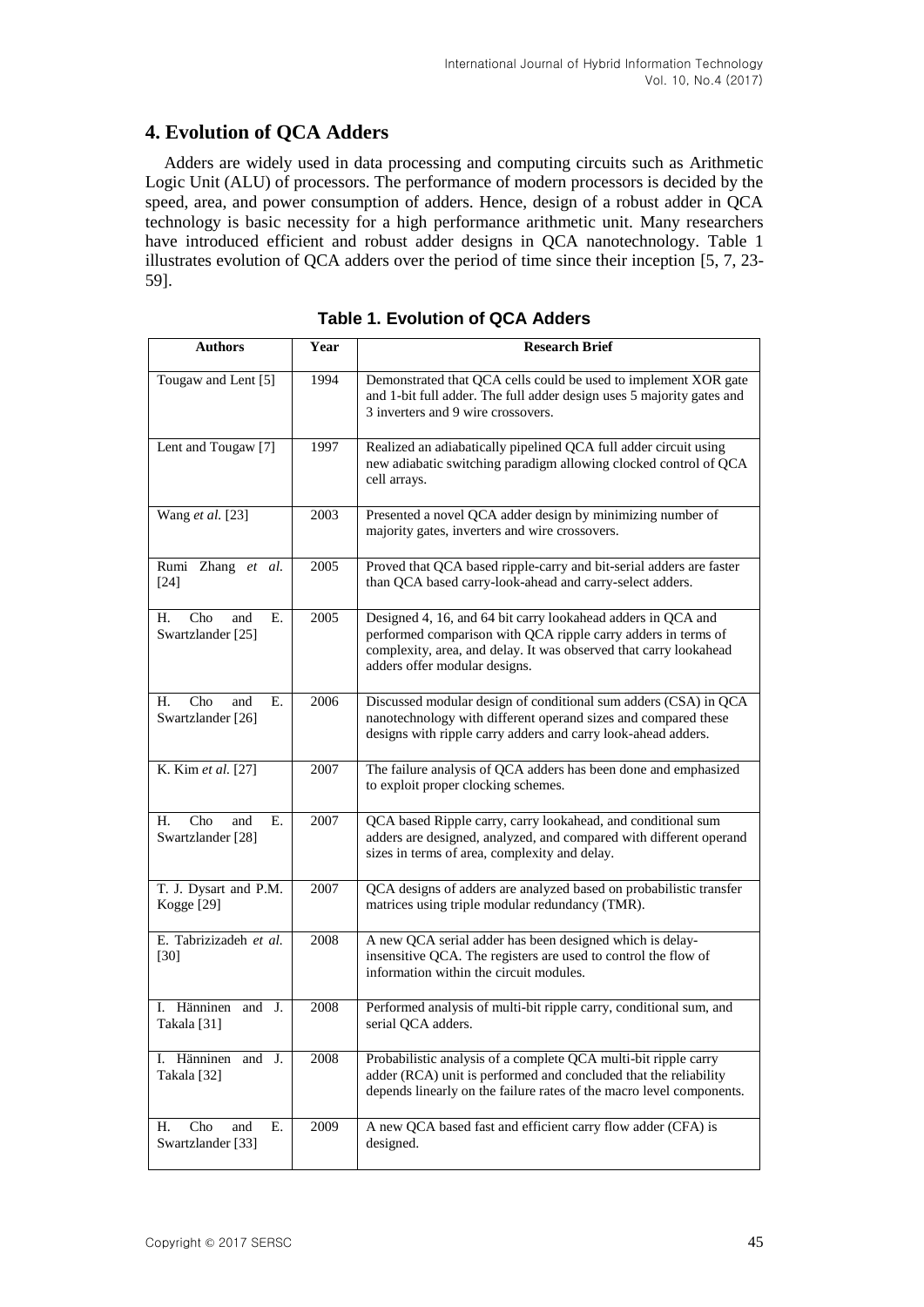## **4. Evolution of QCA Adders**

Adders are widely used in data processing and computing circuits such as Arithmetic Logic Unit (ALU) of processors. The performance of modern processors is decided by the speed, area, and power consumption of adders. Hence, design of a robust adder in QCA technology is basic necessity for a high performance arithmetic unit. Many researchers have introduced efficient and robust adder designs in QCA nanotechnology. Table 1 illustrates evolution of QCA adders over the period of time since their inception [5, 7, 23- 59].

| <b>Authors</b>                               | Year | <b>Research Brief</b>                                                                                                                                                                                                               |
|----------------------------------------------|------|-------------------------------------------------------------------------------------------------------------------------------------------------------------------------------------------------------------------------------------|
| Tougaw and Lent [5]                          | 1994 | Demonstrated that QCA cells could be used to implement XOR gate<br>and 1-bit full adder. The full adder design uses 5 majority gates and<br>3 inverters and 9 wire crossovers.                                                      |
| Lent and Tougaw <sup>[7]</sup>               | 1997 | Realized an adiabatically pipelined QCA full adder circuit using<br>new adiabatic switching paradigm allowing clocked control of QCA<br>cell arrays.                                                                                |
| Wang et al. [23]                             | 2003 | Presented a novel QCA adder design by minimizing number of<br>majority gates, inverters and wire crossovers.                                                                                                                        |
| Rumi Zhang et al.<br>$[24]$                  | 2005 | Proved that QCA based ripple-carry and bit-serial adders are faster<br>than QCA based carry-look-ahead and carry-select adders.                                                                                                     |
| Cho<br>Н.<br>and<br>Е.<br>Swartzlander [25]  | 2005 | Designed 4, 16, and 64 bit carry lookahead adders in QCA and<br>performed comparison with QCA ripple carry adders in terms of<br>complexity, area, and delay. It was observed that carry lookahead<br>adders offer modular designs. |
| Cho<br>Н.<br>and<br>Е.<br>Swartzlander [26]  | 2006 | Discussed modular design of conditional sum adders (CSA) in QCA<br>nanotechnology with different operand sizes and compared these<br>designs with ripple carry adders and carry look-ahead adders.                                  |
| K. Kim et al. [27]                           | 2007 | The failure analysis of QCA adders has been done and emphasized<br>to exploit proper clocking schemes.                                                                                                                              |
| Cho<br>and<br>Е.<br>Н.<br>Swartzlander [28]  | 2007 | QCA based Ripple carry, carry lookahead, and conditional sum<br>adders are designed, analyzed, and compared with different operand<br>sizes in terms of area, complexity and delay.                                                 |
| T. J. Dysart and P.M.<br>Kogge [29]          | 2007 | QCA designs of adders are analyzed based on probabilistic transfer<br>matrices using triple modular redundancy (TMR).                                                                                                               |
| E. Tabrizizadeh et al.<br>$[30]$             | 2008 | A new QCA serial adder has been designed which is delay-<br>insensitive QCA. The registers are used to control the flow of<br>information within the circuit modules.                                                               |
| I. Hänninen and J.<br>Takala <sup>[31]</sup> | 2008 | Performed analysis of multi-bit ripple carry, conditional sum, and<br>serial QCA adders.                                                                                                                                            |
| I. Hänninen and J.<br>Takala [32]            | 2008 | Probabilistic analysis of a complete QCA multi-bit ripple carry<br>adder (RCA) unit is performed and concluded that the reliability<br>depends linearly on the failure rates of the macro level components.                         |
| Cho<br>Ε.<br>Н.<br>and<br>Swartzlander [33]  | 2009 | A new QCA based fast and efficient carry flow adder (CFA) is<br>designed.                                                                                                                                                           |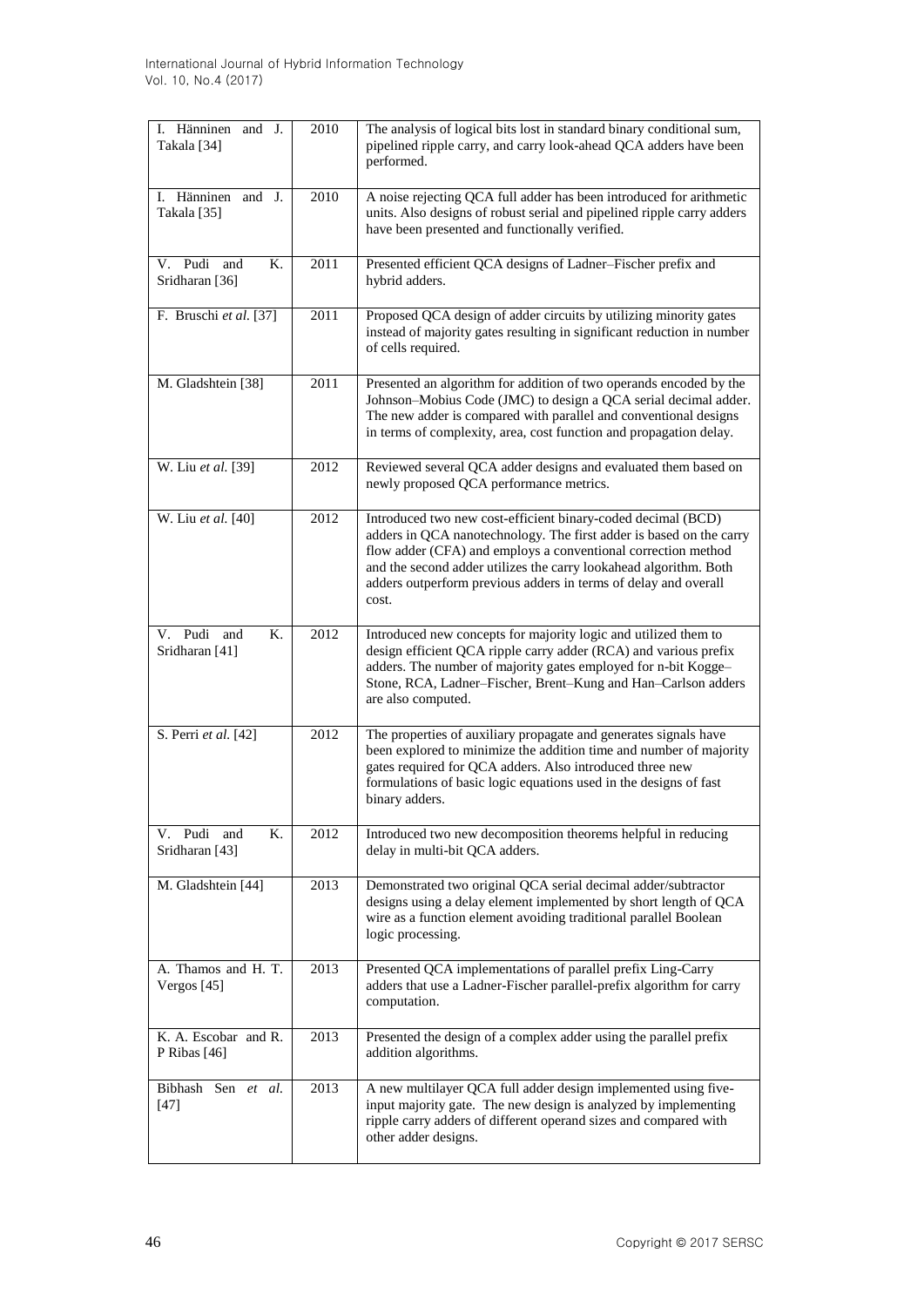| I. Hänninen and J.<br>Takala [34]    | 2010 | The analysis of logical bits lost in standard binary conditional sum,<br>pipelined ripple carry, and carry look-ahead QCA adders have been<br>performed.                                                                                                                                                                                              |  |  |
|--------------------------------------|------|-------------------------------------------------------------------------------------------------------------------------------------------------------------------------------------------------------------------------------------------------------------------------------------------------------------------------------------------------------|--|--|
| I. Hänninen and J.<br>Takala [35]    | 2010 | A noise rejecting QCA full adder has been introduced for arithmetic<br>units. Also designs of robust serial and pipelined ripple carry adders<br>have been presented and functionally verified.                                                                                                                                                       |  |  |
| V. Pudi and<br>Κ.<br>Sridharan [36]  | 2011 | Presented efficient QCA designs of Ladner-Fischer prefix and<br>hybrid adders.                                                                                                                                                                                                                                                                        |  |  |
| F. Bruschi et al. [37]               | 2011 | Proposed QCA design of adder circuits by utilizing minority gates<br>instead of majority gates resulting in significant reduction in number<br>of cells required.                                                                                                                                                                                     |  |  |
| M. Gladshtein [38]                   | 2011 | Presented an algorithm for addition of two operands encoded by the<br>Johnson-Mobius Code (JMC) to design a QCA serial decimal adder.<br>The new adder is compared with parallel and conventional designs<br>in terms of complexity, area, cost function and propagation delay.                                                                       |  |  |
| W. Liu et al. [39]                   | 2012 | Reviewed several QCA adder designs and evaluated them based on<br>newly proposed QCA performance metrics.                                                                                                                                                                                                                                             |  |  |
| W. Liu et al. [40]                   | 2012 | Introduced two new cost-efficient binary-coded decimal (BCD)<br>adders in QCA nanotechnology. The first adder is based on the carry<br>flow adder (CFA) and employs a conventional correction method<br>and the second adder utilizes the carry lookahead algorithm. Both<br>adders outperform previous adders in terms of delay and overall<br>cost. |  |  |
| V. Pudi and<br>Κ.<br>Sridharan [41]  | 2012 | Introduced new concepts for majority logic and utilized them to<br>design efficient QCA ripple carry adder (RCA) and various prefix<br>adders. The number of majority gates employed for n-bit Kogge-<br>Stone, RCA, Ladner-Fischer, Brent-Kung and Han-Carlson adders<br>are also computed.                                                          |  |  |
| S. Perri et al. [42]                 | 2012 | The properties of auxiliary propagate and generates signals have<br>been explored to minimize the addition time and number of majority<br>gates required for QCA adders. Also introduced three new<br>formulations of basic logic equations used in the designs of fast<br>binary adders.                                                             |  |  |
| V. Pudi and<br>К.<br>Sridharan [43]  | 2012 | Introduced two new decomposition theorems helpful in reducing<br>delay in multi-bit QCA adders.                                                                                                                                                                                                                                                       |  |  |
| M. Gladshtein [44]                   | 2013 | Demonstrated two original QCA serial decimal adder/subtractor<br>designs using a delay element implemented by short length of QCA<br>wire as a function element avoiding traditional parallel Boolean<br>logic processing.                                                                                                                            |  |  |
| A. Thamos and H. T.<br>Vergos [45]   | 2013 | Presented QCA implementations of parallel prefix Ling-Carry<br>adders that use a Ladner-Fischer parallel-prefix algorithm for carry<br>computation.                                                                                                                                                                                                   |  |  |
| K. A. Escobar and R.<br>P Ribas [46] | 2013 | Presented the design of a complex adder using the parallel prefix<br>addition algorithms.                                                                                                                                                                                                                                                             |  |  |
| Bibhash Sen et al.<br>$[47]$         | 2013 | A new multilayer QCA full adder design implemented using five-<br>input majority gate. The new design is analyzed by implementing<br>ripple carry adders of different operand sizes and compared with<br>other adder designs.                                                                                                                         |  |  |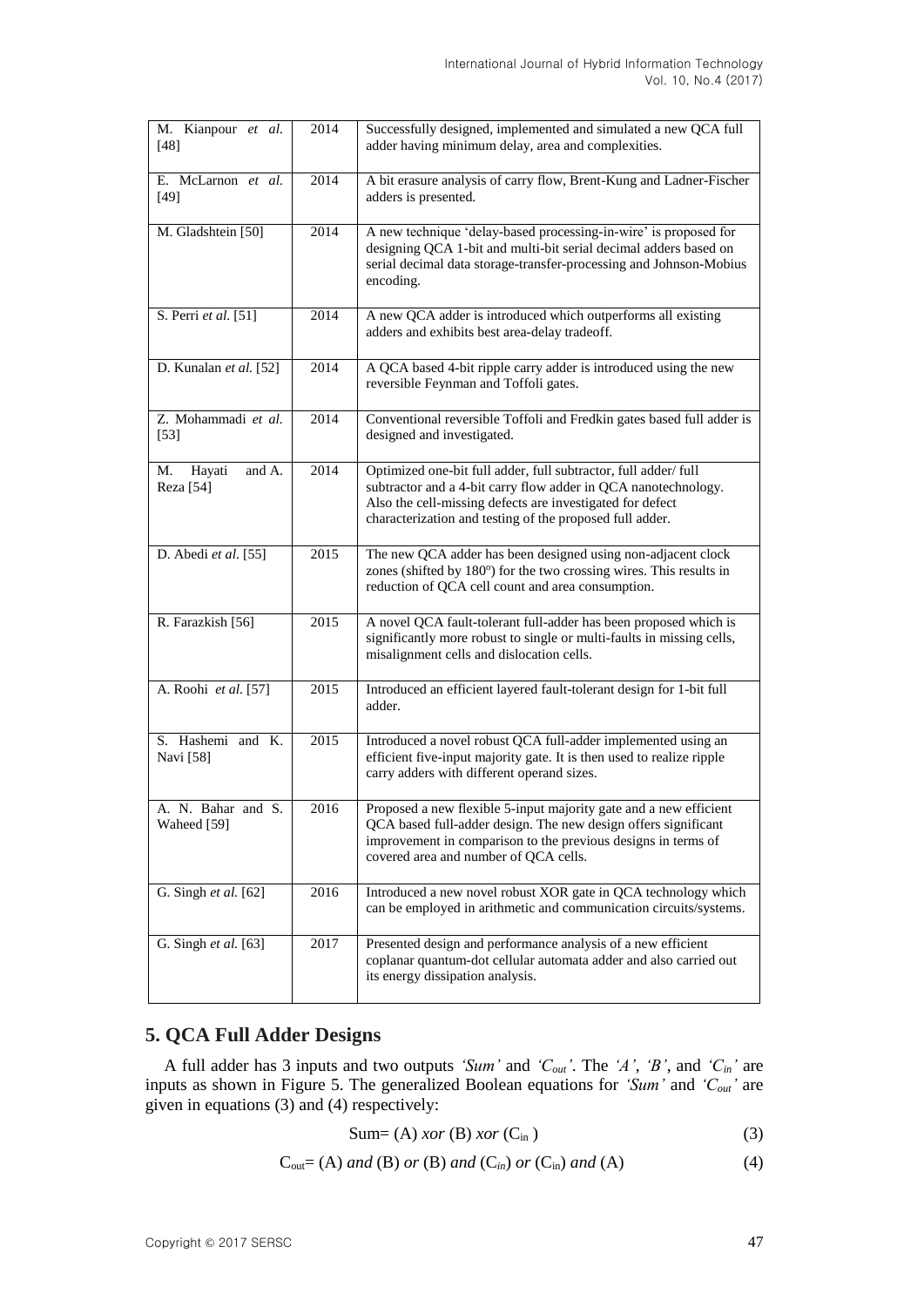| M. Kianpour et al.<br>$[48]$        | 2014 | Successfully designed, implemented and simulated a new QCA full<br>adder having minimum delay, area and complexities.                                                                                                                                     |
|-------------------------------------|------|-----------------------------------------------------------------------------------------------------------------------------------------------------------------------------------------------------------------------------------------------------------|
| E. McLarnon et al.<br>$[49]$        | 2014 | A bit erasure analysis of carry flow, Brent-Kung and Ladner-Fischer<br>adders is presented.                                                                                                                                                               |
| M. Gladshtein [50]                  | 2014 | A new technique 'delay-based processing-in-wire' is proposed for<br>designing QCA 1-bit and multi-bit serial decimal adders based on<br>serial decimal data storage-transfer-processing and Johnson-Mobius<br>encoding.                                   |
| S. Perri et al. [51]                | 2014 | A new QCA adder is introduced which outperforms all existing<br>adders and exhibits best area-delay tradeoff.                                                                                                                                             |
| D. Kunalan et al. [52]              | 2014 | A QCA based 4-bit ripple carry adder is introduced using the new<br>reversible Feynman and Toffoli gates.                                                                                                                                                 |
| Z. Mohammadi et al.<br>$[53]$       | 2014 | Conventional reversible Toffoli and Fredkin gates based full adder is<br>designed and investigated.                                                                                                                                                       |
| Hayati<br>and A.<br>M.<br>Reza [54] | 2014 | Optimized one-bit full adder, full subtractor, full adder/full<br>subtractor and a 4-bit carry flow adder in QCA nanotechnology.<br>Also the cell-missing defects are investigated for defect<br>characterization and testing of the proposed full adder. |
| D. Abedi et al. [55]                | 2015 | The new QCA adder has been designed using non-adjacent clock<br>zones (shifted by 180°) for the two crossing wires. This results in<br>reduction of QCA cell count and area consumption.                                                                  |
| R. Farazkish [56]                   | 2015 | A novel QCA fault-tolerant full-adder has been proposed which is<br>significantly more robust to single or multi-faults in missing cells,<br>misalignment cells and dislocation cells.                                                                    |
| A. Roohi et al. [57]                | 2015 | Introduced an efficient layered fault-tolerant design for 1-bit full<br>adder.                                                                                                                                                                            |
| S. Hashemi and K.<br>Navi [58]      | 2015 | Introduced a novel robust QCA full-adder implemented using an<br>efficient five-input majority gate. It is then used to realize ripple<br>carry adders with different operand sizes.                                                                      |
| A. N. Bahar and S.<br>Waheed [59]   | 2016 | Proposed a new flexible 5-input majority gate and a new efficient<br>QCA based full-adder design. The new design offers significant<br>improvement in comparison to the previous designs in terms of<br>covered area and number of QCA cells.             |
| G. Singh et al. [62]                | 2016 | Introduced a new novel robust XOR gate in QCA technology which<br>can be employed in arithmetic and communication circuits/systems.                                                                                                                       |
| G. Singh et al. [63]                | 2017 | Presented design and performance analysis of a new efficient<br>coplanar quantum-dot cellular automata adder and also carried out<br>its energy dissipation analysis.                                                                                     |

# **5. QCA Full Adder Designs**

A full adder has 3 inputs and two outputs *'Sum'* and *'Cout'*. The *'A'*, *'B'*, and *'Cin'* are inputs as shown in Figure 5. The generalized Boolean equations for *'Sum'* and *'Cout'* are given in equations (3) and (4) respectively:

$$
Sum=(A) x or (B) x or (Cin)
$$
\n(3)

$$
C_{out} = (A) \text{ and } (B) \text{ or } (B) \text{ and } (C_{in}) \text{ or } (C_{in}) \text{ and } (A) \tag{4}
$$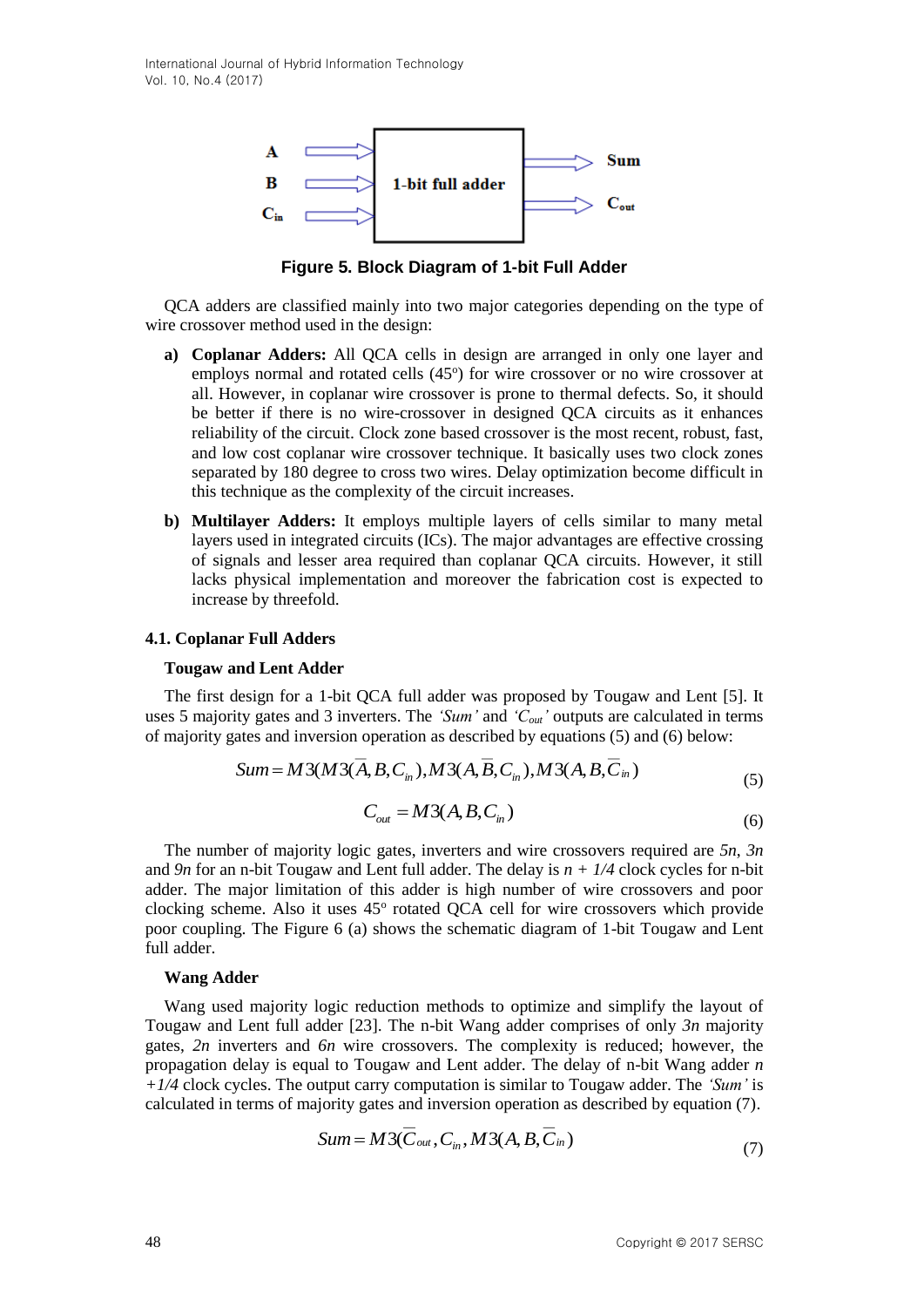

**Figure 5. Block Diagram of 1-bit Full Adder**

QCA adders are classified mainly into two major categories depending on the type of wire crossover method used in the design:

- **a) Coplanar Adders:** All QCA cells in design are arranged in only one layer and employs normal and rotated cells (45°) for wire crossover or no wire crossover at all. However, in coplanar wire crossover is prone to thermal defects. So, it should be better if there is no wire-crossover in designed QCA circuits as it enhances reliability of the circuit. Clock zone based crossover is the most recent, robust, fast, and low cost coplanar wire crossover technique. It basically uses two clock zones separated by 180 degree to cross two wires. Delay optimization become difficult in this technique as the complexity of the circuit increases.
- **b) Multilayer Adders:** It employs multiple layers of cells similar to many metal layers used in integrated circuits (ICs). The major advantages are effective crossing of signals and lesser area required than coplanar QCA circuits. However, it still lacks physical implementation and moreover the fabrication cost is expected to increase by threefold.

#### **4.1. Coplanar Full Adders**

#### **Tougaw and Lent Adder**

The first design for a 1-bit QCA full adder was proposed by Tougaw and Lent [5]. It uses 5 majority gates and 3 inverters. The *'Sum'* and *'Cout'* outputs are calculated in terms of majority gates and inversion operation as described by equations (5) and (6) below:

Sum = 
$$
M3(M3(\overline{A}, B, C_{in}), M3(A, \overline{B}, C_{in}), M3(A, B, \overline{C}_{in})
$$
  
\n
$$
C_{out} = M3(A, B, C_{in})
$$
\n(5)

The number of majority logic gates, inverters and wire crossovers required are *5n*, *3n* and *9n* for an n-bit Tougaw and Lent full adder. The delay is *n + 1/4* clock cycles for n-bit adder. The major limitation of this adder is high number of wire crossovers and poor clocking scheme. Also it uses 45° rotated QCA cell for wire crossovers which provide poor coupling. The Figure 6 (a) shows the schematic diagram of 1-bit Tougaw and Lent full adder.

#### **Wang Adder**

Wang used majority logic reduction methods to optimize and simplify the layout of Tougaw and Lent full adder [23]. The n-bit Wang adder comprises of only *3n* majority gates, *2n* inverters and *6n* wire crossovers. The complexity is reduced; however, the propagation delay is equal to Tougaw and Lent adder. The delay of n-bit Wang adder *n +1/4* clock cycles. The output carry computation is similar to Tougaw adder. The *'Sum'* is calculated in terms of majority gates and inversion operation as described by equation (7).

$$
Sum = M3(\overline{C}_{out}, C_{in}, M3(A, B, \overline{C}_{in})
$$
\n(7)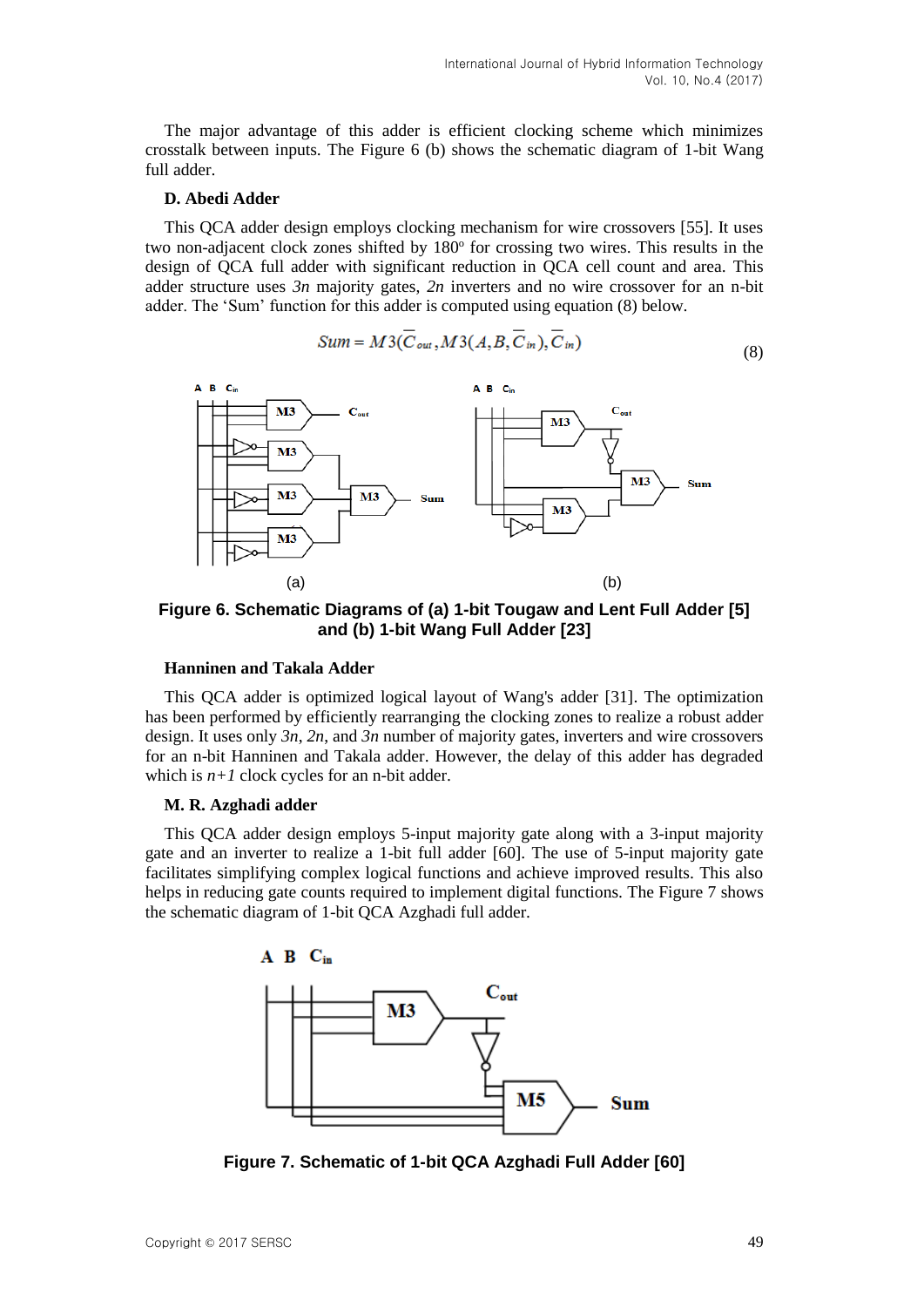The major advantage of this adder is efficient clocking scheme which minimizes crosstalk between inputs. The Figure 6 (b) shows the schematic diagram of 1-bit Wang full adder.

#### **D. Abedi Adder**

This QCA adder design employs clocking mechanism for wire crossovers [55]. It uses two non-adjacent clock zones shifted by 180° for crossing two wires. This results in the design of QCA full adder with significant reduction in QCA cell count and area. This adder structure uses *3n* majority gates, *2n* inverters and no wire crossover for an n-bit adder. The 'Sum' function for this adder is computed using equation (8) below.

$$
Sum = M3(C_{out}, M3(A, B, C_{in}), C_{in})
$$
\n(8)



**Figure 6. Schematic Diagrams of (a) 1-bit Tougaw and Lent Full Adder [5] and (b) 1-bit Wang Full Adder [23]**

#### **Hanninen and Takala Adder**

This QCA adder is optimized logical layout of Wang's adder [31]. The optimization has been performed by efficiently rearranging the clocking zones to realize a robust adder design. It uses only *3n*, *2n*, and *3n* number of majority gates, inverters and wire crossovers for an n-bit Hanninen and Takala adder. However, the delay of this adder has degraded which is  $n+1$  clock cycles for an n-bit adder.

#### **M. R. Azghadi adder**

This QCA adder design employs 5-input majority gate along with a 3-input majority gate and an inverter to realize a 1-bit full adder [60]. The use of 5-input majority gate facilitates simplifying complex logical functions and achieve improved results. This also helps in reducing gate counts required to implement digital functions. The Figure 7 shows the schematic diagram of 1-bit QCA Azghadi full adder.



**Figure 7. Schematic of 1-bit QCA Azghadi Full Adder [60]**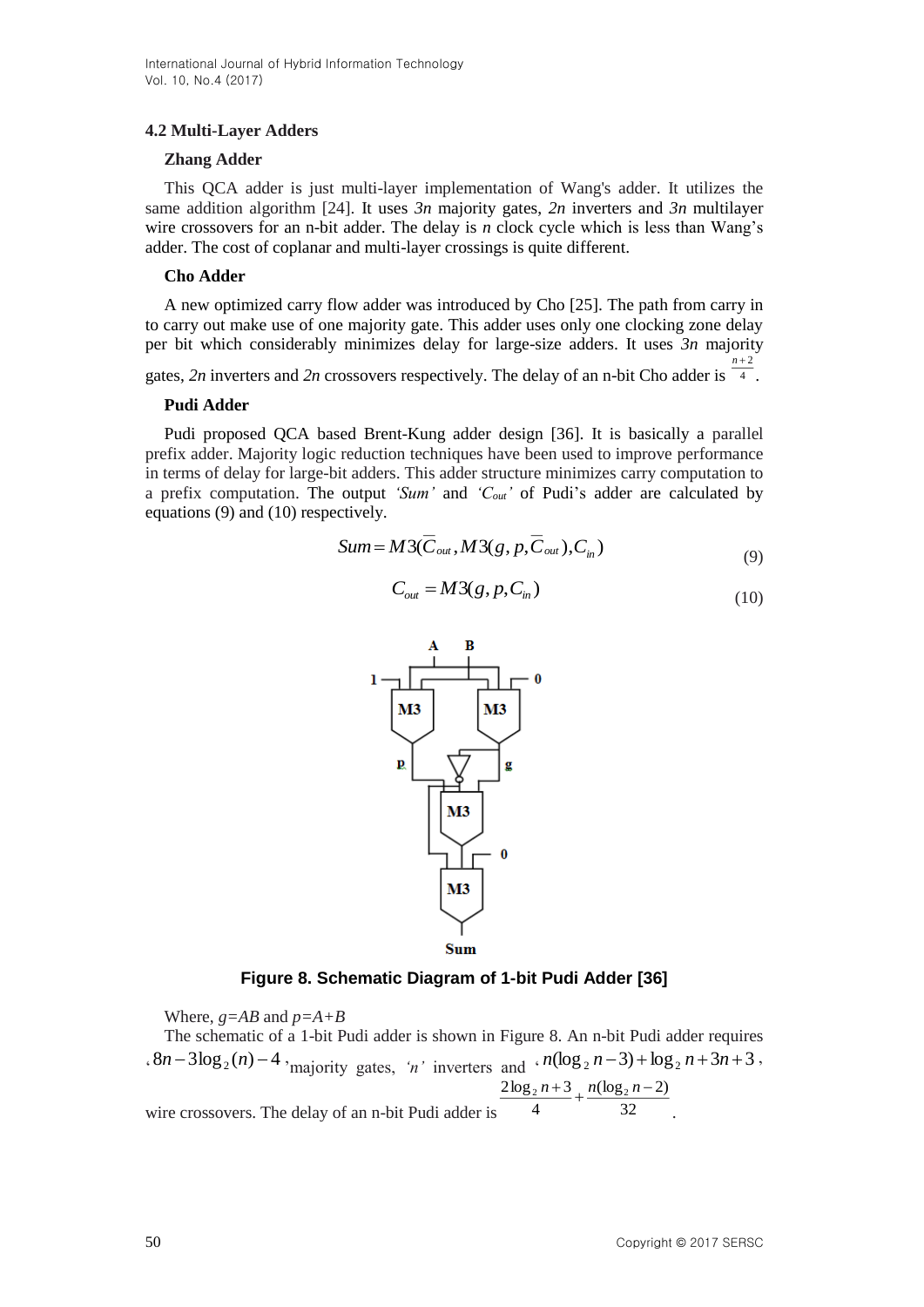## **4.2 Multi-Layer Adders**

### **Zhang Adder**

This QCA adder is just multi-layer implementation of Wang's adder. It utilizes the same addition algorithm [24]. It uses *3n* majority gates, *2n* inverters and *3n* multilayer wire crossovers for an n-bit adder. The delay is *n* clock cycle which is less than Wang's adder. The cost of coplanar and multi-layer crossings is quite different.

### **Cho Adder**

A new optimized carry flow adder was introduced by Cho [25]. The path from carry in to carry out make use of one majority gate. This adder uses only one clocking zone delay per bit which considerably minimizes delay for large-size adders. It uses *3n* majority  $n+2$ 

gates, 2n inverters and 2n crossovers respectively. The delay of an n-bit Cho adder is  $\frac{4}{1}$ .

#### **Pudi Adder**

Pudi proposed QCA based Brent-Kung adder design [36]. It is basically a parallel prefix adder. Majority logic reduction techniques have been used to improve performance in terms of delay for large-bit adders. This adder structure minimizes carry computation to a prefix computation. The output *'Sum'* and *'Cout'* of Pudi's adder are calculated by equations (9) and (10) respectively.

$$
Sum = M3(\overline{C}_{out}, M3(g, p, \overline{C}_{out}), C_{in})
$$
\n(9)

$$
C_{\text{out}} = M3(g, p, C_{\text{in}}) \tag{10}
$$



**Figure 8. Schematic Diagram of 1-bit Pudi Adder [36]**

Where, *g=AB* and *p=A+B*

The schematic of a 1-bit Pudi adder is shown in Figure 8. An n-bit Pudi adder requires  $\int$ ,  $8n-3\log_2(n)-4$ , majority gates, 'n' inverters and  $\int$ ,  $n(\log_2 n-3)+\log_2 n+3n+3$ , wire crossovers. The delay of an n-bit Pudi adder is  $\frac{4}{32}$  $(\log_2 n - 2)$ 4  $\frac{2\log_2 n + 3}{n} + \frac{n(\log_2 n - 1)}{n}$ .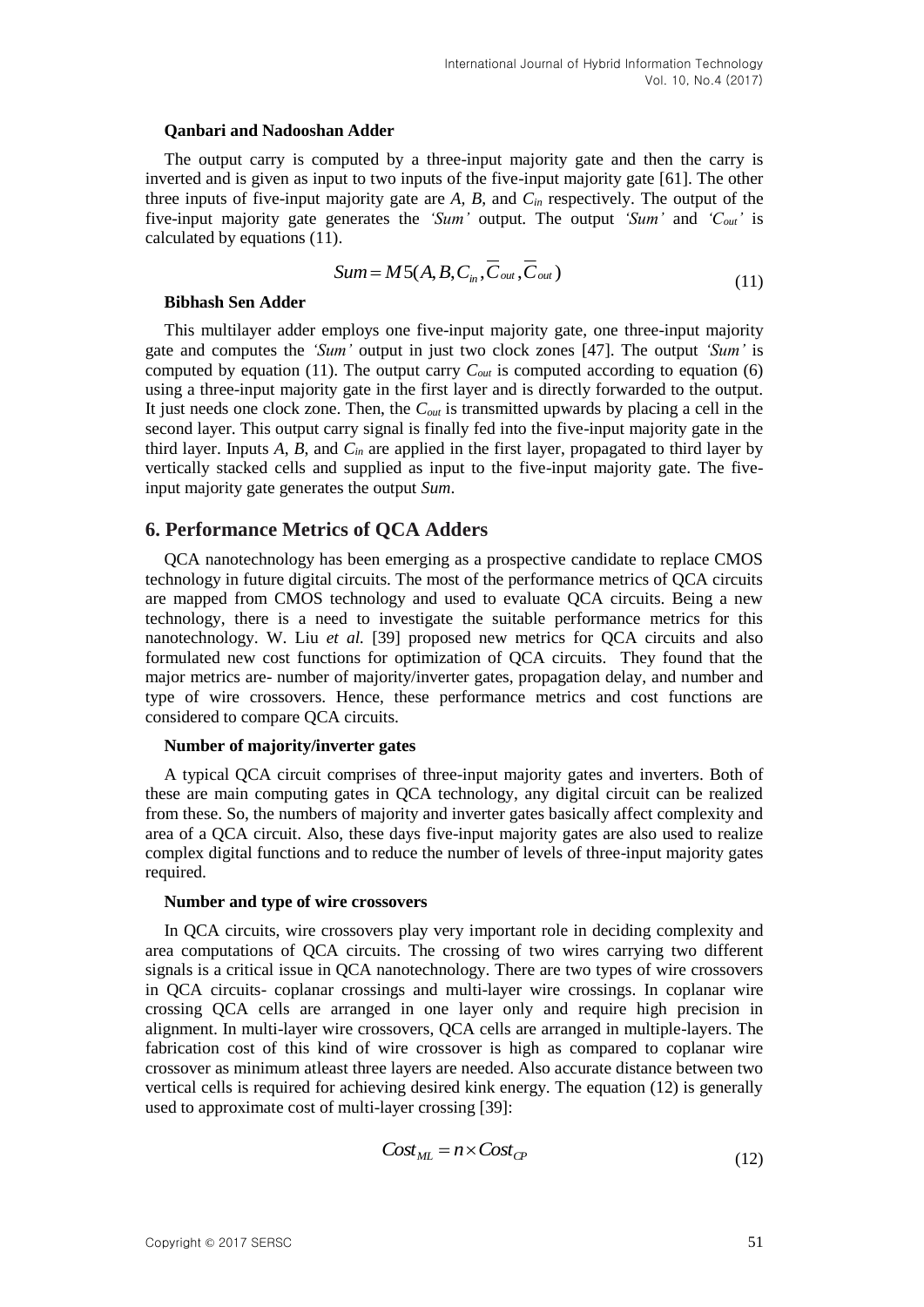#### **Qanbari and Nadooshan Adder**

The output carry is computed by a three-input majority gate and then the carry is inverted and is given as input to two inputs of the five-input majority gate [61]. The other three inputs of five-input majority gate are *A, B*, and *Cin* respectively. The output of the five-input majority gate generates the *'Sum'* output. The output *'Sum'* and *'Cout'* is calculated by equations (11).

$$
Sum = M5(A, B, C_{in}, \overline{C}_{out}, \overline{C}_{out})
$$
\n(11)

#### **Bibhash Sen Adder**

This multilayer adder employs one five-input majority gate, one three-input majority gate and computes the *'Sum'* output in just two clock zones [47]. The output *'Sum'* is computed by equation (11). The output carry  $C_{out}$  is computed according to equation (6) using a three-input majority gate in the first layer and is directly forwarded to the output. It just needs one clock zone. Then, the *Cout* is transmitted upwards by placing a cell in the second layer. This output carry signal is finally fed into the five-input majority gate in the third layer. Inputs *A*, *B*, and *Cin* are applied in the first layer, propagated to third layer by vertically stacked cells and supplied as input to the five-input majority gate. The fiveinput majority gate generates the output *Sum*.

### **6. Performance Metrics of QCA Adders**

QCA nanotechnology has been emerging as a prospective candidate to replace CMOS technology in future digital circuits. The most of the performance metrics of QCA circuits are mapped from CMOS technology and used to evaluate QCA circuits. Being a new technology, there is a need to investigate the suitable performance metrics for this nanotechnology. W. Liu *et al.* [39] proposed new metrics for QCA circuits and also formulated new cost functions for optimization of QCA circuits. They found that the major metrics are- number of majority/inverter gates, propagation delay, and number and type of wire crossovers. Hence, these performance metrics and cost functions are considered to compare QCA circuits.

#### **Number of majority/inverter gates**

A typical QCA circuit comprises of three-input majority gates and inverters. Both of these are main computing gates in QCA technology, any digital circuit can be realized from these. So, the numbers of majority and inverter gates basically affect complexity and area of a QCA circuit. Also, these days five-input majority gates are also used to realize complex digital functions and to reduce the number of levels of three-input majority gates required.

#### **Number and type of wire crossovers**

In QCA circuits, wire crossovers play very important role in deciding complexity and area computations of QCA circuits. The crossing of two wires carrying two different signals is a critical issue in QCA nanotechnology. There are two types of wire crossovers in QCA circuits- coplanar crossings and multi-layer wire crossings. In coplanar wire crossing QCA cells are arranged in one layer only and require high precision in alignment. In multi-layer wire crossovers, QCA cells are arranged in multiple-layers. The fabrication cost of this kind of wire crossover is high as compared to coplanar wire crossover as minimum atleast three layers are needed. Also accurate distance between two vertical cells is required for achieving desired kink energy. The equation (12) is generally used to approximate cost of multi-layer crossing [39]:

$$
Cost_{ML} = n \times Cost_{CP}
$$
 (12)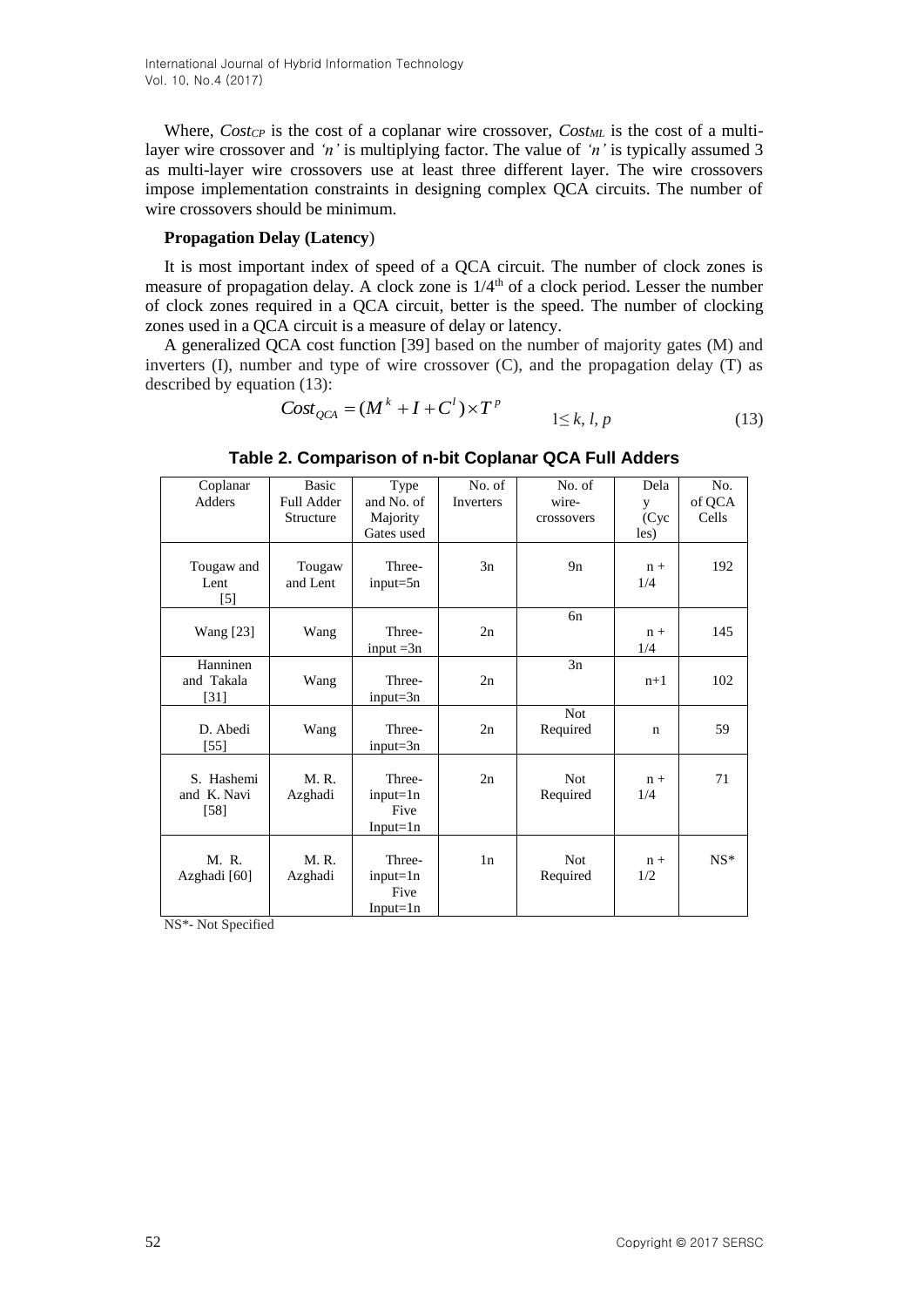Where, *CostCP* is the cost of a coplanar wire crossover, *CostML* is the cost of a multilayer wire crossover and *'n'* is multiplying factor. The value of *'n'* is typically assumed 3 as multi-layer wire crossovers use at least three different layer. The wire crossovers impose implementation constraints in designing complex QCA circuits. The number of wire crossovers should be minimum.

### **Propagation Delay (Latency**)

It is most important index of speed of a QCA circuit. The number of clock zones is measure of propagation delay. A clock zone is  $1/4<sup>th</sup>$  of a clock period. Lesser the number of clock zones required in a QCA circuit, better is the speed. The number of clocking zones used in a QCA circuit is a measure of delay or latency.

A generalized QCA cost function [39] based on the number of majority gates (M) and inverters  $(I)$ , number and type of wire crossover  $(C)$ , and the propagation delay  $(T)$  as described by equation (13):

$$
Cost_{QCA} = (M^k + I + C^l) \times T^p
$$
  
1 \le k, l, p (13)

| Coplanar                          | <b>Basic</b>       | Type                                         | No. of    | No. of                 | Dela         | No.    |
|-----------------------------------|--------------------|----------------------------------------------|-----------|------------------------|--------------|--------|
| Adders                            | <b>Full Adder</b>  | and No. of                                   | Inverters | wire-                  | y            | of QCA |
|                                   | Structure          | Majority                                     |           | crossovers             | (Cyc)        | Cells  |
|                                   |                    | Gates used                                   |           |                        | les)         |        |
| Tougaw and<br>Lent<br>$[5]$       | Tougaw<br>and Lent | Three-<br>$input = 5n$                       | 3n        | 9n                     | $n +$<br>1/4 | 192    |
| <b>Wang</b> [23]                  | Wang               | Three-<br>input $=3n$                        | 2n        | 6n                     | $n +$<br>1/4 | 145    |
| Hanninen<br>and Takala<br>$[31]$  | Wang               | Three-<br>$input = 3n$                       | 2n        | 3n                     | $n+1$        | 102    |
| D. Abedi<br>$[55]$                | Wang               | Three-<br>$input = 3n$                       | 2n        | <b>Not</b><br>Required | $\mathbf n$  | 59     |
| S. Hashemi<br>and K. Navi<br>[58] | M.R.<br>Azghadi    | Three-<br>$input=1n$<br>Five<br>$Input = 1n$ | 2n        | <b>Not</b><br>Required | $n +$<br>1/4 | 71     |
| M. R.<br>Azghadi [60]             | M.R.<br>Azghadi    | Three-<br>$input=1n$<br>Five<br>$Input = 1n$ | 1n        | <b>Not</b><br>Required | $n +$<br>1/2 | $NS*$  |

**Table 2. Comparison of n-bit Coplanar QCA Full Adders**

NS\*- Not Specified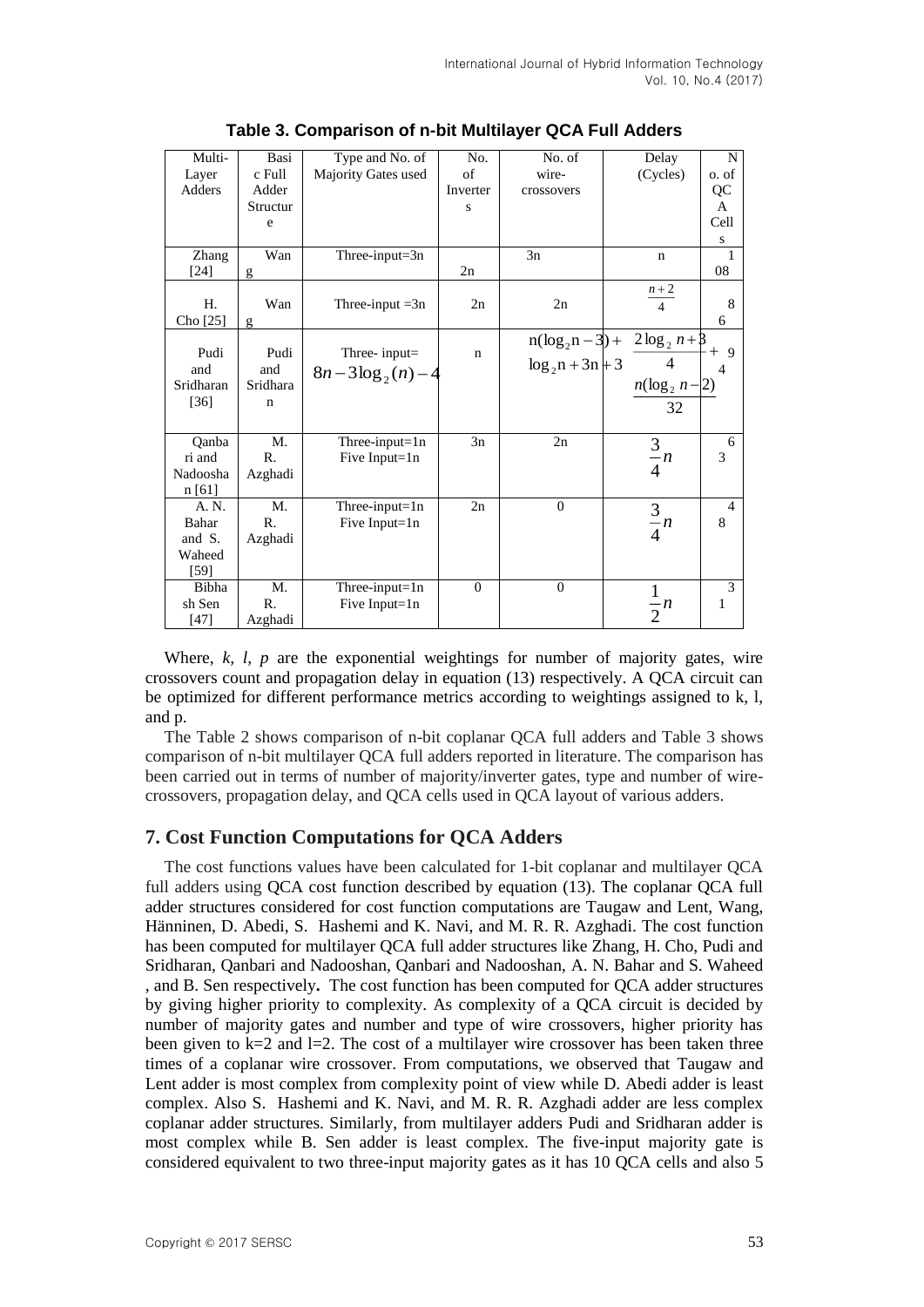| Multi-     | Basi     | Type and No. of              | No.         | No. of              | Delay                             | N              |
|------------|----------|------------------------------|-------------|---------------------|-----------------------------------|----------------|
| Layer      | c Full   | Majority Gates used          | of          | wire-               | (Cycles)                          | o. of          |
| Adders     | Adder    |                              | Inverter    | crossovers          |                                   | QC             |
|            | Structur |                              | S           |                     |                                   | A              |
|            | e        |                              |             |                     |                                   | Cell           |
|            |          |                              |             |                     |                                   | S              |
| Zhang      | Wan      | Three-input=3n               |             | 3n                  | $\mathbf n$                       | 1              |
| $[24]$     | g        |                              | 2n          |                     |                                   | 08             |
|            |          |                              |             |                     | $\frac{n+2}{4}$                   |                |
| H.         | Wan      | Three-input $=3n$            | 2n          | 2n                  |                                   | 8              |
| Cho $[25]$ | g        |                              |             |                     |                                   | 6              |
|            |          |                              |             |                     | $n(\log_2 n - 3) + 2\log_2 n + 3$ |                |
| Pudi       | Pudi     | Three-input=                 | $\mathbf n$ |                     | $\overline{4}$                    | $+9$           |
| and        | and      | $8n-3\log_2(n)-4$            |             | $\log_2 n + 3n + 3$ |                                   | 4              |
| Sridharan  | Sridhara |                              |             |                     | $n(\log_2 n - 2)$                 |                |
| $[36]$     | n        |                              |             |                     | 32                                |                |
|            |          |                              |             |                     |                                   |                |
| Qanba      | M.       | $\overline{Three}$ -input=1n | 3n          | 2n                  |                                   | 6              |
| ri and     | R.       | Five Input= $1n$             |             |                     | $rac{3}{4}n$                      | 3              |
| Nadoosha   | Azghadi  |                              |             |                     |                                   |                |
| n [61]     |          |                              |             |                     |                                   |                |
| A. N.      | M.       | Three-input=1n               | 2n          | $\mathbf{0}$        |                                   | $\overline{4}$ |
| Bahar      | R.       | Five Input=1n                |             |                     | $\frac{3}{4}n$                    | 8              |
| and S.     | Azghadi  |                              |             |                     |                                   |                |
| Waheed     |          |                              |             |                     |                                   |                |
| [59]       |          |                              |             |                     |                                   |                |
| Bibha      | M.       | Three-input= $1n$            | $\Omega$    | $\theta$            | $\mathbf{1}$                      | 3              |
| sh Sen     | R.       | Five Input=1n                |             |                     | $-n$                              | 1              |
| $[47]$     | Azghadi  |                              |             |                     | $\overline{2}$                    |                |

**Table 3. Comparison of n-bit Multilayer QCA Full Adders**

Where,  $k, l, p$  are the exponential weightings for number of majority gates, wire crossovers count and propagation delay in equation (13) respectively. A QCA circuit can be optimized for different performance metrics according to weightings assigned to k, l, and p.

The Table 2 shows comparison of n-bit coplanar QCA full adders and Table 3 shows comparison of n-bit multilayer QCA full adders reported in literature. The comparison has been carried out in terms of number of majority/inverter gates, type and number of wirecrossovers, propagation delay, and QCA cells used in QCA layout of various adders.

## **7. Cost Function Computations for QCA Adders**

The cost functions values have been calculated for 1-bit coplanar and multilayer QCA full adders using QCA cost function described by equation (13). The coplanar QCA full adder structures considered for cost function computations are Taugaw and Lent, Wang, Hänninen, D. Abedi, S. Hashemi and K. Navi, and M. R. R. Azghadi. The cost function has been computed for multilayer QCA full adder structures like Zhang, H. Cho, Pudi and Sridharan, Qanbari and Nadooshan, Qanbari and Nadooshan, A. N. Bahar and S. Waheed , and B. Sen respectively**.** The cost function has been computed for QCA adder structures by giving higher priority to complexity. As complexity of a QCA circuit is decided by number of majority gates and number and type of wire crossovers, higher priority has been given to  $k=2$  and  $l=2$ . The cost of a multilayer wire crossover has been taken three times of a coplanar wire crossover. From computations, we observed that Taugaw and Lent adder is most complex from complexity point of view while D. Abedi adder is least complex. Also S. Hashemi and K. Navi, and M. R. R. Azghadi adder are less complex coplanar adder structures. Similarly, from multilayer adders Pudi and Sridharan adder is most complex while B. Sen adder is least complex. The five-input majority gate is considered equivalent to two three-input majority gates as it has 10 QCA cells and also 5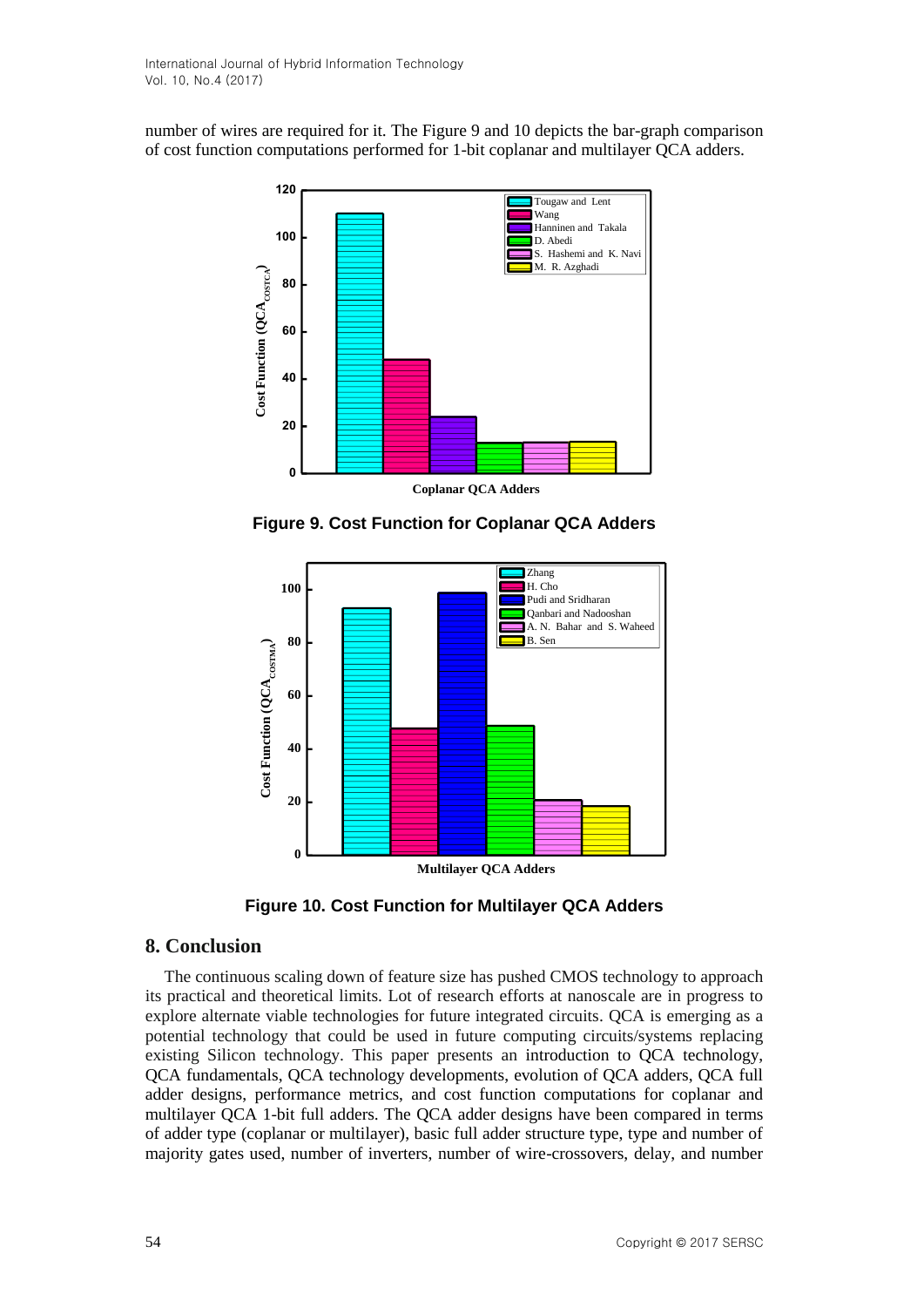number of wires are required for it. The Figure 9 and 10 depicts the bar-graph comparison of cost function computations performed for 1-bit coplanar and multilayer QCA adders.



**Figure 9. Cost Function for Coplanar QCA Adders**



**Figure 10. Cost Function for Multilayer QCA Adders** 

## **8. Conclusion**

The continuous scaling down of feature size has pushed CMOS technology to approach its practical and theoretical limits. Lot of research efforts at nanoscale are in progress to explore alternate viable technologies for future integrated circuits. QCA is emerging as a potential technology that could be used in future computing circuits/systems replacing existing Silicon technology. This paper presents an introduction to QCA technology, QCA fundamentals, QCA technology developments, evolution of QCA adders, QCA full adder designs, performance metrics, and cost function computations for coplanar and multilayer QCA 1-bit full adders. The QCA adder designs have been compared in terms of adder type (coplanar or multilayer), basic full adder structure type, type and number of majority gates used, number of inverters, number of wire-crossovers, delay, and number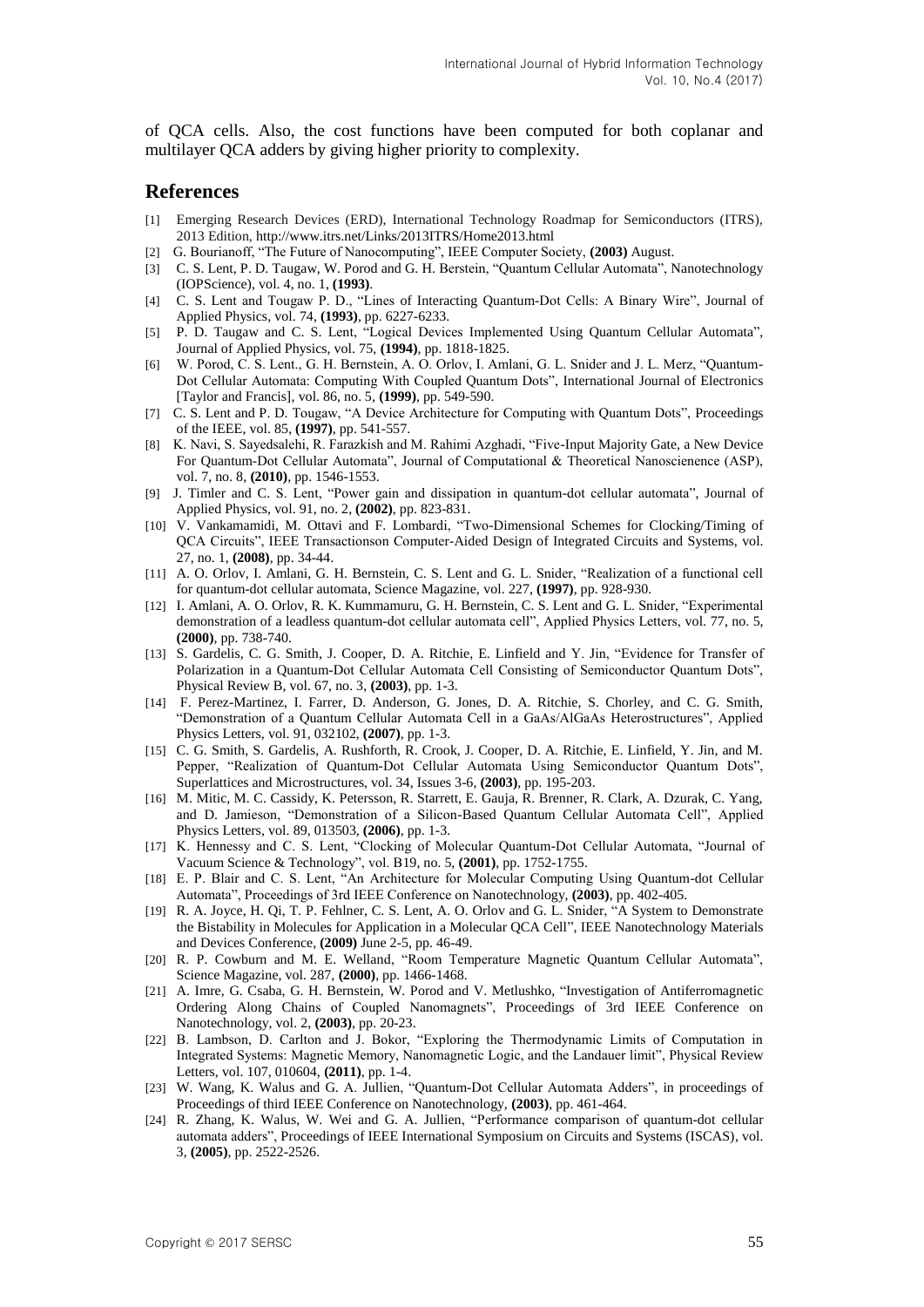of QCA cells. Also, the cost functions have been computed for both coplanar and multilayer QCA adders by giving higher priority to complexity.

#### **References**

- [1] Emerging Research Devices (ERD), International Technology Roadmap for Semiconductors (ITRS), 2013 Edition, http://www.itrs.net/Links/2013ITRS/Home2013.html
- [2] G. Bourianoff, "The Future of Nanocomputing", IEEE Computer Society, **(2003)** August.
- [3] C. S. Lent, P. D. Taugaw, W. Porod and G. H. Berstein, "Quantum Cellular Automata", Nanotechnology (IOPScience), vol. 4, no. 1, **(1993)**.
- [4] C. S. Lent and Tougaw P. D., "Lines of Interacting Quantum-Dot Cells: A Binary Wire", Journal of Applied Physics, vol. 74, **(1993)**, pp. 6227-6233.
- [5] P. D. Taugaw and C. S. Lent, "Logical Devices Implemented Using Quantum Cellular Automata", Journal of Applied Physics, vol. 75, **(1994)**, pp. 1818-1825.
- [6] W. Porod, C. S. Lent., G. H. Bernstein, A. O. Orlov, I. Amlani, G. L. Snider and J. L. Merz, "Quantum-Dot Cellular Automata: Computing With Coupled Quantum Dots", International Journal of Electronics [Taylor and Francis], vol. 86, no. 5, **(1999)**, pp. 549-590.
- [7] C. S. Lent and P. D. Tougaw, "A Device Architecture for Computing with Quantum Dots", Proceedings of the IEEE, vol. 85, **(1997)**, pp. 541-557.
- [8] K. Navi, S. Sayedsalehi, R. Farazkish and M. Rahimi Azghadi, "Five-Input Majority Gate, a New Device For Quantum-Dot Cellular Automata", Journal of Computational & Theoretical Nanoscienence (ASP), vol. 7, no. 8, **(2010)**, pp. 1546-1553.
- [9] J. Timler and C. S. Lent, "Power gain and dissipation in quantum-dot cellular automata", Journal of Applied Physics, vol. 91, no. 2, **(2002)**, pp. 823-831.
- [10] V. Vankamamidi, M. Ottavi and F. Lombardi, "Two-Dimensional Schemes for Clocking/Timing of QCA Circuits", IEEE Transactionson Computer-Aided Design of Integrated Circuits and Systems, vol. 27, no. 1, **(2008)**, pp. 34-44.
- [11] A. O. Orlov, I. Amlani, G. H. Bernstein, C. S. Lent and G. L. Snider, "Realization of a functional cell for quantum-dot cellular automata, Science Magazine, vol. 227, **(1997)**, pp. 928-930.
- [12] I. Amlani, A. O. Orlov, R. K. Kummamuru, G. H. Bernstein, C. S. Lent and G. L. Snider, "Experimental demonstration of a leadless quantum-dot cellular automata cell", Applied Physics Letters, vol. 77, no. 5, **(2000)**, pp. 738-740.
- [13] S. Gardelis, C. G. Smith, J. Cooper, D. A. Ritchie, E. Linfield and Y. Jin, "Evidence for Transfer of Polarization in a Quantum-Dot Cellular Automata Cell Consisting of Semiconductor Quantum Dots", Physical Review B, vol. 67, no. 3, **(2003)**, pp. 1-3.
- [14] F. Perez-Martinez, I. Farrer, D. Anderson, G. Jones, D. A. Ritchie, S. Chorley, and C. G. Smith, "Demonstration of a Quantum Cellular Automata Cell in a GaAs/AlGaAs Heterostructures", Applied Physics Letters, vol. 91, 032102, **(2007)**, pp. 1-3.
- [15] C. G. Smith, S. Gardelis, A. Rushforth, R. Crook, J. Cooper, D. A. Ritchie, E. Linfield, Y. Jin, and M. Pepper, "Realization of Quantum-Dot Cellular Automata Using Semiconductor Quantum Dots", Superlattices and Microstructures, vol. 34, Issues 3-6, **(2003)**, pp. 195-203.
- [16] M. Mitic, M. C. Cassidy, K. Petersson, R. Starrett, E. Gauja, R. Brenner, R. Clark, A. Dzurak, C. Yang, and D. Jamieson, "Demonstration of a Silicon-Based Quantum Cellular Automata Cell", Applied Physics Letters, vol. 89, 013503, **(2006)**, pp. 1-3.
- [17] K. Hennessy and C. S. Lent, "Clocking of Molecular Quantum-Dot Cellular Automata, "Journal of Vacuum Science & Technology", vol. B19, no. 5, **(2001)**, pp. 1752-1755.
- [18] E. P. Blair and C. S. Lent, "An Architecture for Molecular Computing Using Quantum-dot Cellular Automata", Proceedings of 3rd IEEE Conference on Nanotechnology, **(2003)**, pp. 402-405.
- [19] R. A. Joyce, H. Qi, T. P. Fehlner, C. S. Lent, A. O. Orlov and G. L. Snider, "A System to Demonstrate the Bistability in Molecules for Application in a Molecular QCA Cell", IEEE Nanotechnology Materials and Devices Conference, **(2009)** June 2-5, pp. 46-49.
- [20] R. P. Cowburn and M. E. Welland, "Room Temperature Magnetic Quantum Cellular Automata", Science Magazine, vol. 287, **(2000)**, pp. 1466-1468.
- [21] A. Imre, G. Csaba, G. H. Bernstein, W. Porod and V. Metlushko, "Investigation of Antiferromagnetic Ordering Along Chains of Coupled Nanomagnets", Proceedings of 3rd IEEE Conference on Nanotechnology, vol. 2, **(2003)**, pp. 20-23.
- [22] B. Lambson, D. Carlton and J. Bokor, "Exploring the Thermodynamic Limits of Computation in Integrated Systems: Magnetic Memory, Nanomagnetic Logic, and the Landauer limit", Physical Review Letters, vol. 107, 010604, **(2011)**, pp. 1-4.
- [23] W. Wang, K. Walus and G. A. Jullien, "Quantum-Dot Cellular Automata Adders", in proceedings of Proceedings of third IEEE Conference on Nanotechnology, **(2003)**, pp. 461-464.
- [24] R. Zhang, K. Walus, W. Wei and G. A. Jullien, "Performance comparison of quantum-dot cellular automata adders", Proceedings of IEEE International Symposium on Circuits and Systems (ISCAS), vol. 3, **(2005)**, pp. 2522-2526.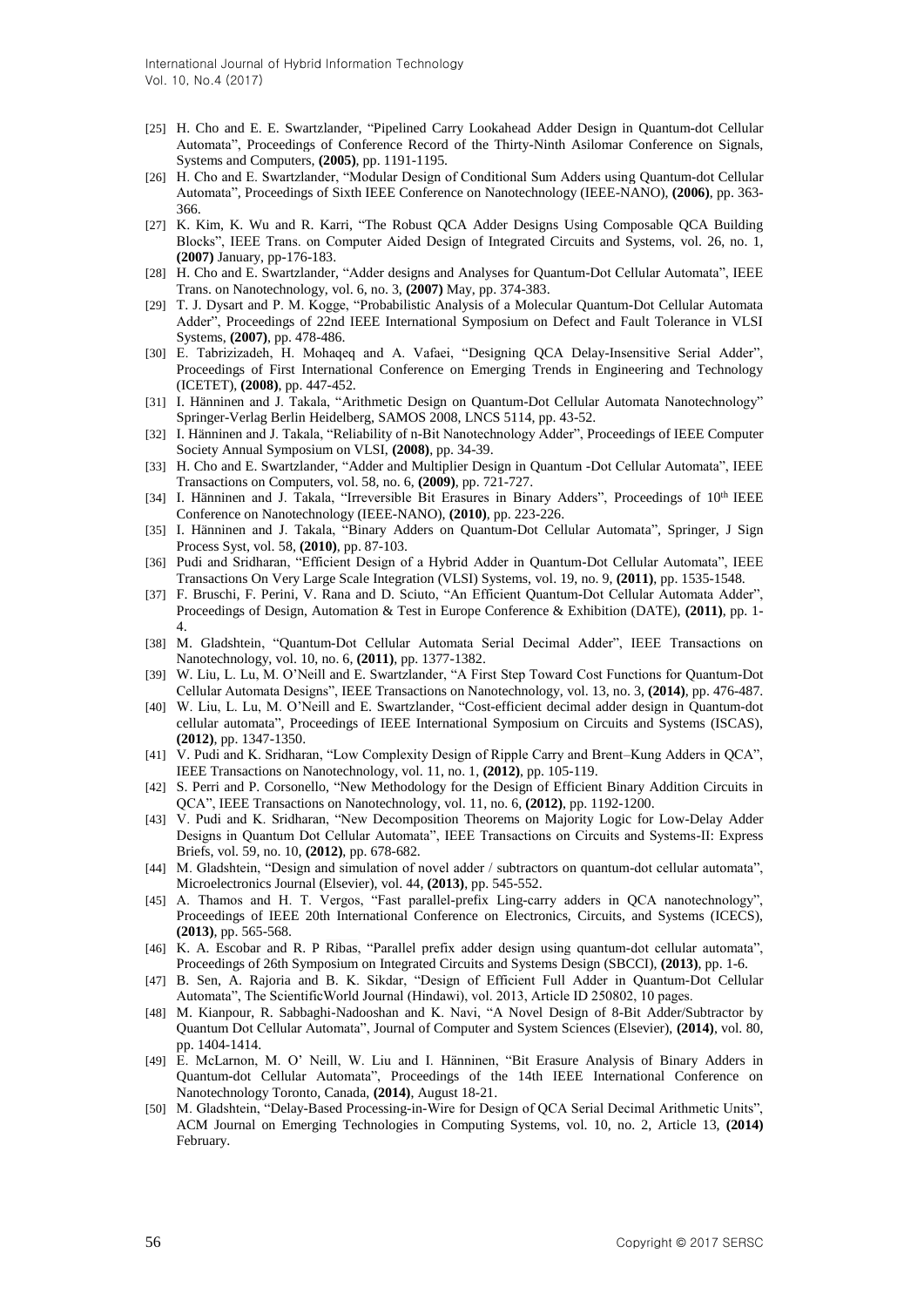- [25] H. Cho and E. E. Swartzlander, "Pipelined Carry Lookahead Adder Design in Quantum-dot Cellular Automata", Proceedings of Conference Record of the Thirty-Ninth Asilomar Conference on Signals, Systems and Computers, **(2005)**, pp. 1191-1195.
- [26] H. Cho and E. Swartzlander, "Modular Design of Conditional Sum Adders using Quantum-dot Cellular Automata", Proceedings of Sixth IEEE Conference on Nanotechnology (IEEE-NANO), **(2006)**, pp. 363- 366.
- [27] K. Kim, K. Wu and R. Karri, "The Robust QCA Adder Designs Using Composable QCA Building Blocks", IEEE Trans. on Computer Aided Design of Integrated Circuits and Systems, vol. 26, no. 1, **(2007)** January, pp-176-183.
- [28] H. Cho and E. Swartzlander, "Adder designs and Analyses for Quantum-Dot Cellular Automata", IEEE Trans. on Nanotechnology, vol. 6, no. 3, **(2007)** May, pp. 374-383.
- [29] T. J. Dysart and P. M. Kogge, "Probabilistic Analysis of a Molecular Quantum-Dot Cellular Automata Adder", Proceedings of 22nd IEEE International Symposium on Defect and Fault Tolerance in VLSI Systems, **(2007)**, pp. 478-486.
- [30] E. Tabrizizadeh, H. Mohaqeq and A. Vafaei, "Designing QCA Delay-Insensitive Serial Adder", Proceedings of First International Conference on Emerging Trends in Engineering and Technology (ICETET), **(2008)**, pp. 447-452.
- [31] I. Hänninen and J. Takala, "Arithmetic Design on Quantum-Dot Cellular Automata Nanotechnology" Springer-Verlag Berlin Heidelberg, SAMOS 2008, LNCS 5114, pp. 43-52.
- [32] I. Hänninen and J. Takala, "Reliability of n-Bit Nanotechnology Adder", Proceedings of IEEE Computer Society Annual Symposium on VLSI, **(2008)**, pp. 34-39.
- [33] H. Cho and E. Swartzlander, "Adder and Multiplier Design in Quantum -Dot Cellular Automata", IEEE Transactions on Computers, vol. 58, no. 6, **(2009)**, pp. 721-727.
- [34] I. Hänninen and J. Takala, "Irreversible Bit Erasures in Binary Adders", Proceedings of 10th IEEE Conference on Nanotechnology (IEEE-NANO), **(2010)**, pp. 223-226.
- [35] I. Hänninen and J. Takala, "Binary Adders on Quantum-Dot Cellular Automata", Springer, J Sign Process Syst, vol. 58, **(2010)**, pp. 87-103.
- [36] Pudi and Sridharan, "Efficient Design of a Hybrid Adder in Quantum-Dot Cellular Automata", IEEE Transactions On Very Large Scale Integration (VLSI) Systems, vol. 19, no. 9, **(2011)**, pp. 1535-1548.
- [37] F. [Bruschi,](http://ieeexplore.ieee.org/search/searchresult.jsp?searchWithin=%22Authors%22:.QT.Bruschi%2C%20F..QT.&newsearch=true) F. [Perini,](http://ieeexplore.ieee.org/search/searchresult.jsp?searchWithin=%22Authors%22:.QT.Perini%2C%20F..QT.&newsearch=true) V. [Rana](http://ieeexplore.ieee.org/search/searchresult.jsp?searchWithin=%22Authors%22:.QT.Rana%2C%20V..QT.&newsearch=true) and D. [Sciuto,](http://ieeexplore.ieee.org/search/searchresult.jsp?searchWithin=%22Authors%22:.QT.Sciuto%2C%20D..QT.&newsearch=true) "An Efficient Quantum-Dot Cellular Automata Adder", Proceedings of Design, Automation & Test in Europe Conference & Exhibition (DATE), **(2011)**, pp. 1- 4.
- [38] M. Gladshtein, "Quantum-Dot Cellular Automata Serial Decimal Adder", IEEE Transactions on Nanotechnology, vol. 10, no. 6, **(2011)**, pp. 1377-1382.
- [39] W. Liu, L. Lu, M. O'Neill and E. Swartzlander, "A First Step Toward Cost Functions for Quantum-Dot Cellular Automata Designs", IEEE Transactions on Nanotechnology, vol. 13, no. 3, **(2014)**, pp. 476-487.
- [40] W. Liu, L. Lu, M. O'Neill and E. Swartzlander, "Cost-efficient decimal adder design in Quantum-dot cellular automata", Proceedings of IEEE International Symposium on Circuits and Systems (ISCAS), **(2012)**, pp. 1347-1350.
- [41] V. Pudi and K. Sridharan, "Low Complexity Design of Ripple Carry and Brent–Kung Adders in QCA", IEEE Transactions on Nanotechnology, vol. 11, no. 1, **(2012)**, pp. 105-119.
- [42] S. Perri and P. Corsonello, "New Methodology for the Design of Efficient Binary Addition Circuits in QCA", IEEE Transactions on Nanotechnology, vol. 11, no. 6, **(2012)**, pp. 1192-1200.
- [43] V. Pudi and K. Sridharan, "New Decomposition Theorems on Majority Logic for Low-Delay Adder Designs in Quantum Dot Cellular Automata", IEEE Transactions on Circuits and Systems-II: Express Briefs, vol. 59, no. 10, **(2012)**, pp. 678-682.
- [44] M. Gladshtein, "Design and simulation of novel adder / subtractors on quantum-dot cellular automata", Microelectronics Journal (Elsevier), vol. 44, **(2013)**, pp. 545-552.
- [45] A. Thamos and H. T. Vergos, "Fast parallel-prefix Ling-carry adders in QCA nanotechnology", Proceedings of IEEE 20th International Conference on Electronics, Circuits, and Systems (ICECS), **(2013)**, pp. 565-568.
- [46] K. A. Escobar and R. P Ribas, "Parallel prefix adder design using quantum-dot cellular automata", Proceedings of 26th Symposium on Integrated Circuits and Systems Design (SBCCI), **(2013)**, pp. 1-6.
- [47] B. Sen, A. Rajoria and B. K. Sikdar, "Design of Efficient Full Adder in Quantum-Dot Cellular Automata", The ScientificWorld Journal (Hindawi), vol. 2013, Article ID 250802, 10 pages.
- [48] M. Kianpour, R. Sabbaghi-Nadooshan and K. Navi, "A Novel Design of 8-Bit Adder/Subtractor by Quantum Dot Cellular Automata", Journal of Computer and System Sciences (Elsevier), **(2014)**, vol. 80, pp. 1404-1414.
- [49] E. McLarnon, M. O' Neill, W. Liu and I. Hänninen, "Bit Erasure Analysis of Binary Adders in Quantum-dot Cellular Automata", Proceedings of the 14th IEEE International Conference on Nanotechnology Toronto, Canada, **(2014)**, August 18-21.
- [50] M. Gladshtein, "Delay-Based Processing-in-Wire for Design of QCA Serial Decimal Arithmetic Units", ACM Journal on Emerging Technologies in Computing Systems, vol. 10, no. 2, Article 13, **(2014)** February.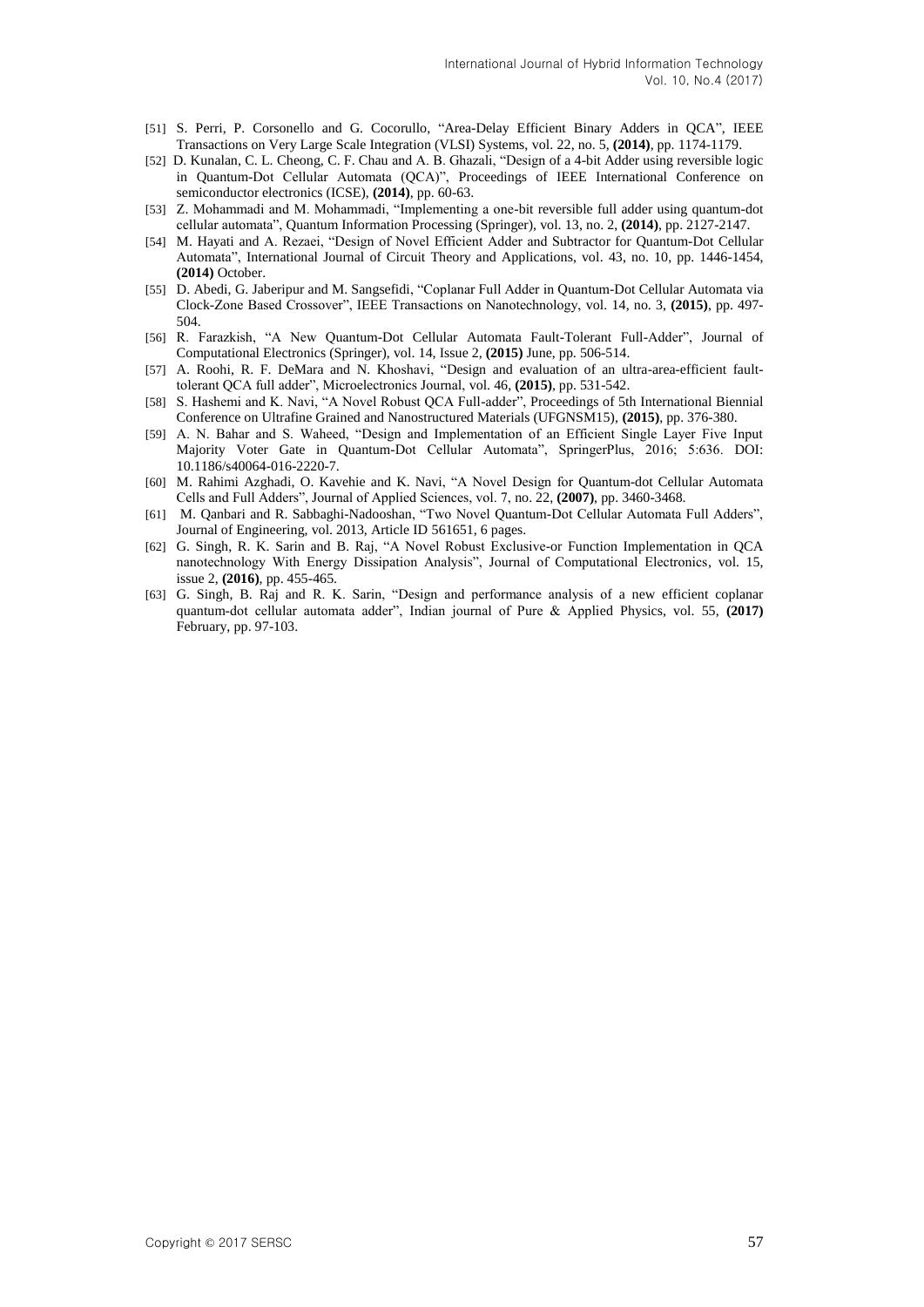- [51] S. Perri, P. Corsonello and G. Cocorullo, "Area-Delay Efficient Binary Adders in QCA", IEEE Transactions on Very Large Scale Integration (VLSI) Systems, vol. 22, no. 5, **(2014)**, pp. 1174-1179.
- [52] D. Kunalan, C. L. Cheong, C. F. Chau and A. B. Ghazali, "Design of a 4-bit Adder using reversible logic in Quantum-Dot Cellular Automata (QCA)", Proceedings of IEEE International Conference on semiconductor electronics (ICSE), **(2014)**, pp. 60-63.
- [53] Z. Mohammadi and M. Mohammadi, "Implementing a one-bit reversible full adder using quantum-dot cellular automata", Quantum Information Processing (Springer), vol. 13, no. 2, **(2014)**, pp. 2127-2147.
- [54] M. Hayati and A. Rezaei, "Design of Novel Efficient Adder and Subtractor for Quantum-Dot Cellular Automata", International Journal of Circuit Theory and Applications, vol. 43, no. 10, pp. 1446-1454, **(2014)** October.
- [55] D. Abedi, G. Jaberipur and M. Sangsefidi, "Coplanar Full Adder in Quantum-Dot Cellular Automata via Clock-Zone Based Crossover", IEEE Transactions on Nanotechnology, vol. 14, no. 3, **(2015)**, pp. 497- 504.
- [56] R. Farazkish, "A New Quantum-Dot Cellular Automata Fault-Tolerant Full-Adder", Journal of Computational Electronics (Springer), vol. 14, Issue 2, **(2015)** June, pp. 506-514.
- [57] A. Roohi, R. F. DeMara and N. Khoshavi, "Design and evaluation of an ultra-area-efficient faulttolerant QCA full adder", Microelectronics Journal, vol. 46, **(2015)**, pp. 531-542.
- [58] S. Hashemi and K. Navi, "A Novel Robust QCA Full-adder", Proceedings of 5th International Biennial Conference on Ultrafine Grained and Nanostructured Materials (UFGNSM15), **(2015)**, pp. 376-380.
- [59] A. N. Bahar and S. Waheed, "Design and Implementation of an Efficient Single Layer Five Input Majority Voter Gate in Quantum-Dot Cellular Automata", SpringerPlus, 2016; 5:636. DOI: 10.1186/s40064-016-2220-7.
- [60] M. [Rahimi Azghadi,](https://arxiv.org/find/cs/1/au:+Azghadi_M/0/1/0/all/0/1) [O. Kavehie](https://arxiv.org/find/cs/1/au:+Kavehie_O/0/1/0/all/0/1) and [K. Navi,](https://arxiv.org/find/cs/1/au:+Navi_K/0/1/0/all/0/1) "A Novel Design for Quantum-dot Cellular Automata Cells and Full Adders", Journal of Applied Sciences, vol. 7, no. 22, **(2007)**, pp. 3460-3468.
- [61] M. [Qanbari](http://www.hindawi.com/73105746/) and R. [Sabbaghi-Nadooshan,](http://www.hindawi.com/49053126/) "Two Novel Quantum-Dot Cellular Automata Full Adders", Journal of Engineering, vol. 2013, Article ID 561651, 6 pages.
- [62] G. Singh, R. K. Sarin and B. Raj, "A Novel Robust Exclusive-or Function Implementation in QCA nanotechnology With Energy Dissipation Analysis", Journal of Computational Electronics, vol. 15, issue 2, **(2016)**, pp. 455-465.
- [63] G. Singh, B. Raj and R. K. Sarin, "Design and performance analysis of a new efficient coplanar quantum-dot cellular automata adder", Indian journal of Pure & Applied Physics, vol. 55, **(2017)** February, pp. 97-103.